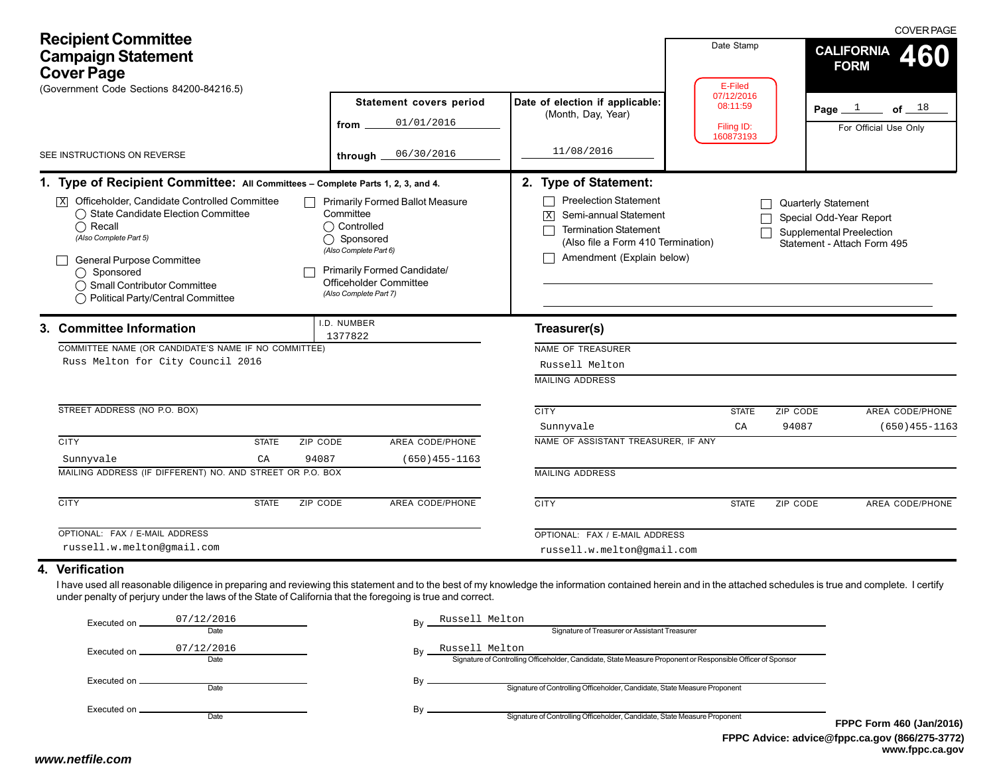| <b>Recipient Committee</b><br><b>Campaign Statement</b><br><b>Cover Page</b><br>(Government Code Sections 84200-84216.5)                                                                                                                                                                                                                       |                                                                                                                                                                                                 |                                                                                                                                                                        | Date Stamp<br>E-Filed   | <b>COVER PAGE</b><br><b>CALIFORNIA</b><br>460<br><b>FORM</b>                                              |
|------------------------------------------------------------------------------------------------------------------------------------------------------------------------------------------------------------------------------------------------------------------------------------------------------------------------------------------------|-------------------------------------------------------------------------------------------------------------------------------------------------------------------------------------------------|------------------------------------------------------------------------------------------------------------------------------------------------------------------------|-------------------------|-----------------------------------------------------------------------------------------------------------|
|                                                                                                                                                                                                                                                                                                                                                | Statement covers period                                                                                                                                                                         | Date of election if applicable:<br>(Month, Day, Year)                                                                                                                  | 07/12/2016<br>08:11:59  | Page $1$<br>of $\_$ $18$                                                                                  |
|                                                                                                                                                                                                                                                                                                                                                | 01/01/2016<br>from                                                                                                                                                                              |                                                                                                                                                                        | Filing ID:<br>160873193 | For Official Use Only                                                                                     |
| SEE INSTRUCTIONS ON REVERSE                                                                                                                                                                                                                                                                                                                    | 06/30/2016<br>through.                                                                                                                                                                          | 11/08/2016                                                                                                                                                             |                         |                                                                                                           |
| 1. Type of Recipient Committee: All Committees - Complete Parts 1, 2, 3, and 4.                                                                                                                                                                                                                                                                |                                                                                                                                                                                                 | 2. Type of Statement:                                                                                                                                                  |                         |                                                                                                           |
| $\overline{X}$ Officeholder, Candidate Controlled Committee<br>$\mathsf{L}$<br>◯ State Candidate Election Committee<br>$\bigcap$ Recall<br>(Also Complete Part 5)<br><b>General Purpose Committee</b><br>◯ Sponsored<br>◯ Small Contributor Committee<br>◯ Political Party/Central Committee                                                   | <b>Primarily Formed Ballot Measure</b><br>Committee<br>◯ Controlled<br>◯ Sponsored<br>(Also Complete Part 6)<br>Primarily Formed Candidate/<br>Officeholder Committee<br>(Also Complete Part 7) | <b>Preelection Statement</b><br>Semi-annual Statement<br>$\sqrt{X}$<br><b>Termination Statement</b><br>(Also file a Form 410 Termination)<br>Amendment (Explain below) |                         | Quarterly Statement<br>Special Odd-Year Report<br>Supplemental Preelection<br>Statement - Attach Form 495 |
| 3. Committee Information                                                                                                                                                                                                                                                                                                                       | .D. NUMBER<br>1377822                                                                                                                                                                           | Treasurer(s)                                                                                                                                                           |                         |                                                                                                           |
| COMMITTEE NAME (OR CANDIDATE'S NAME IF NO COMMITTEE)                                                                                                                                                                                                                                                                                           |                                                                                                                                                                                                 | NAME OF TREASURER                                                                                                                                                      |                         |                                                                                                           |
| Russ Melton for City Council 2016                                                                                                                                                                                                                                                                                                              |                                                                                                                                                                                                 | Russell Melton                                                                                                                                                         |                         |                                                                                                           |
|                                                                                                                                                                                                                                                                                                                                                |                                                                                                                                                                                                 | <b>MAILING ADDRESS</b>                                                                                                                                                 |                         |                                                                                                           |
| STREET ADDRESS (NO P.O. BOX)                                                                                                                                                                                                                                                                                                                   |                                                                                                                                                                                                 | <b>CITY</b>                                                                                                                                                            | <b>STATE</b>            | ZIP CODE<br>AREA CODE/PHONE                                                                               |
|                                                                                                                                                                                                                                                                                                                                                |                                                                                                                                                                                                 | Sunnyvale                                                                                                                                                              | CA                      | 94087<br>$(650)455 - 1163$                                                                                |
| <b>CITY</b><br><b>STATE</b><br>ZIP CODE                                                                                                                                                                                                                                                                                                        | AREA CODE/PHONE                                                                                                                                                                                 | NAME OF ASSISTANT TREASURER, IF ANY                                                                                                                                    |                         |                                                                                                           |
| 94087<br>Sunnyvale<br>$\rm CA$                                                                                                                                                                                                                                                                                                                 | $(650)455 - 1163$                                                                                                                                                                               |                                                                                                                                                                        |                         |                                                                                                           |
| MAILING ADDRESS (IF DIFFERENT) NO. AND STREET OR P.O. BOX                                                                                                                                                                                                                                                                                      |                                                                                                                                                                                                 | <b>MAILING ADDRESS</b>                                                                                                                                                 |                         |                                                                                                           |
| <b>CITY</b><br><b>STATE</b>                                                                                                                                                                                                                                                                                                                    | <b>ZIP CODE</b><br>AREA CODE/PHONE                                                                                                                                                              | <b>CITY</b>                                                                                                                                                            | <b>STATE</b>            | AREA CODE/PHONE<br>ZIP CODE                                                                               |
| OPTIONAL: FAX / E-MAIL ADDRESS                                                                                                                                                                                                                                                                                                                 |                                                                                                                                                                                                 | OPTIONAL: FAX / E-MAIL ADDRESS                                                                                                                                         |                         |                                                                                                           |
| russell.w.melton@gmail.com                                                                                                                                                                                                                                                                                                                     |                                                                                                                                                                                                 | russell.w.melton@gmail.com                                                                                                                                             |                         |                                                                                                           |
| 4. Verification<br>I have used all reasonable diligence in preparing and reviewing this statement and to the best of my knowledge the information contained herein and in the attached schedules is true and complete. I certify<br>under penalty of perjury under the laws of the State of California that the foregoing is true and correct. |                                                                                                                                                                                                 |                                                                                                                                                                        |                         |                                                                                                           |

| Executed on    | 07/12/2016<br>Date | Russell Melton<br>Bv<br>Signature of Treasurer or Assistant Treasurer                                                               |    |
|----------------|--------------------|-------------------------------------------------------------------------------------------------------------------------------------|----|
| Executed on.   | 07/12/2016<br>Date | Russell Melton<br>Bv<br>Signature of Controlling Officeholder, Candidate, State Measure Proponent or Responsible Officer of Sponsor |    |
| Executed on __ | Date               | Signature of Controlling Officeholder, Candidate, State Measure Proponent                                                           |    |
|                | Date               | Signature of Controlling Officeholder, Candidate, State Measure Proponent                                                           | FP |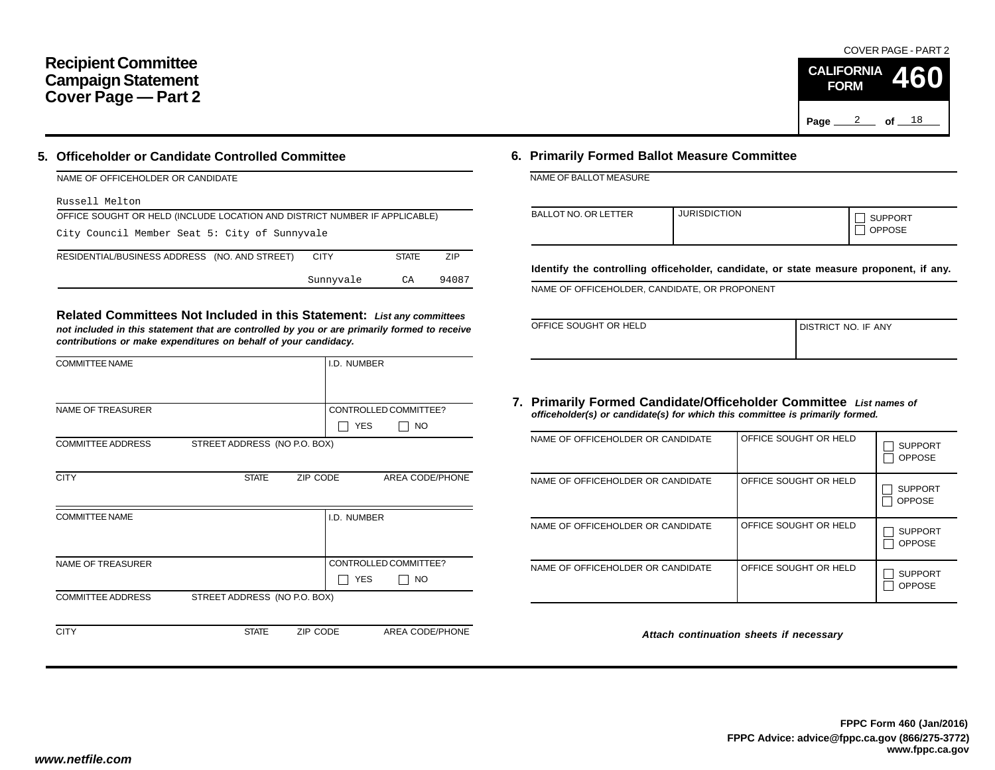## **Recipient Committee Campaign Statement Cover Page — Part 2**

#### **5. Officeholder or Candidate Controlled Committee**

| NAME OF OFFICEHOLDER OR CANDIDATE                                          |             |              |       |  |  |  |  |
|----------------------------------------------------------------------------|-------------|--------------|-------|--|--|--|--|
| Russell Melton                                                             |             |              |       |  |  |  |  |
| OFFICE SOUGHT OR HELD (INCLUDE LOCATION AND DISTRICT NUMBER IF APPLICABLE) |             |              |       |  |  |  |  |
| City Council Member Seat 5: City of Sunnyvale                              |             |              |       |  |  |  |  |
| RESIDENTIAL/BUSINESS ADDRESS (NO. AND STREET)                              | <b>CITY</b> | <b>STATE</b> | 7IP   |  |  |  |  |
|                                                                            | Sunnyvale   | CA           | 94087 |  |  |  |  |

**Related Committees Not Included in this Statement:** *List any committees not included in this statement that are controlled by you or are primarily formed to receive contributions or make expenditures on behalf of your candidacy.*

| <b>COMMITTEE NAME</b>    |                              |          | I.D. NUMBER |                       |
|--------------------------|------------------------------|----------|-------------|-----------------------|
|                          |                              |          |             |                       |
| <b>NAME OF TREASURER</b> |                              |          |             | CONTROLLED COMMITTEE? |
|                          |                              |          | <b>YES</b>  | <b>NO</b>             |
| <b>COMMITTEE ADDRESS</b> | STREET ADDRESS (NO P.O. BOX) |          |             |                       |
|                          |                              |          |             |                       |
| <b>CITY</b>              | <b>STATE</b>                 | ZIP CODE |             | AREA CODE/PHONE       |
|                          |                              |          |             |                       |
| <b>COMMITTEE NAME</b>    |                              |          | I.D. NUMBER |                       |
|                          |                              |          |             |                       |
|                          |                              |          |             |                       |
| <b>NAME OF TREASURER</b> |                              |          |             | CONTROLLED COMMITTEE? |
|                          |                              |          | <b>YES</b>  | NO.                   |
| <b>COMMITTEE ADDRESS</b> | STREET ADDRESS (NO P.O. BOX) |          |             |                       |
|                          |                              |          |             |                       |
| <b>CITY</b>              | <b>STATE</b>                 | ZIP CODE |             | AREA CODE/PHONE       |

### **6. Primarily Formed Ballot Measure Committee**

NAME OF BALLOT MEASURE

| <b>BALLOT NO. OR LETTER</b> | <b>JURISDICTION</b> | <b>SUPPORT</b><br><b>OPPOSE</b> |
|-----------------------------|---------------------|---------------------------------|
|-----------------------------|---------------------|---------------------------------|

**Identify the controlling officeholder, candidate, or state measure proponent, if any.**

NAME OF OFFICEHOLDER, CANDIDATE, OR PROPONENT

| OFFICE SOUGHT OR HELD | I DISTRICT NO. IF ANY |
|-----------------------|-----------------------|
|                       |                       |

#### **7. Primarily Formed Candidate/Officeholder Committee** *List names of officeholder(s) or candidate(s) for which this committee is primarily formed.*

| NAME OF OFFICEHOLDER OR CANDIDATE | OFFICE SOUGHT OR HELD | <b>SUPPORT</b><br><b>OPPOSE</b> |
|-----------------------------------|-----------------------|---------------------------------|
| NAME OF OFFICEHOLDER OR CANDIDATE | OFFICE SOUGHT OR HELD | <b>SUPPORT</b><br><b>OPPOSE</b> |
| NAME OF OFFICEHOLDER OR CANDIDATE | OFFICE SOUGHT OR HELD | <b>SUPPORT</b><br><b>OPPOSE</b> |
| NAME OF OFFICEHOLDER OR CANDIDATE | OFFICE SOUGHT OR HELD | <b>SUPPORT</b><br><b>OPPOSE</b> |

*Attach continuation sheets if necessary*

COVER PAGE - PART 2

**460**

Page <u>2</u> of 18

**CALIFORNIA FORM**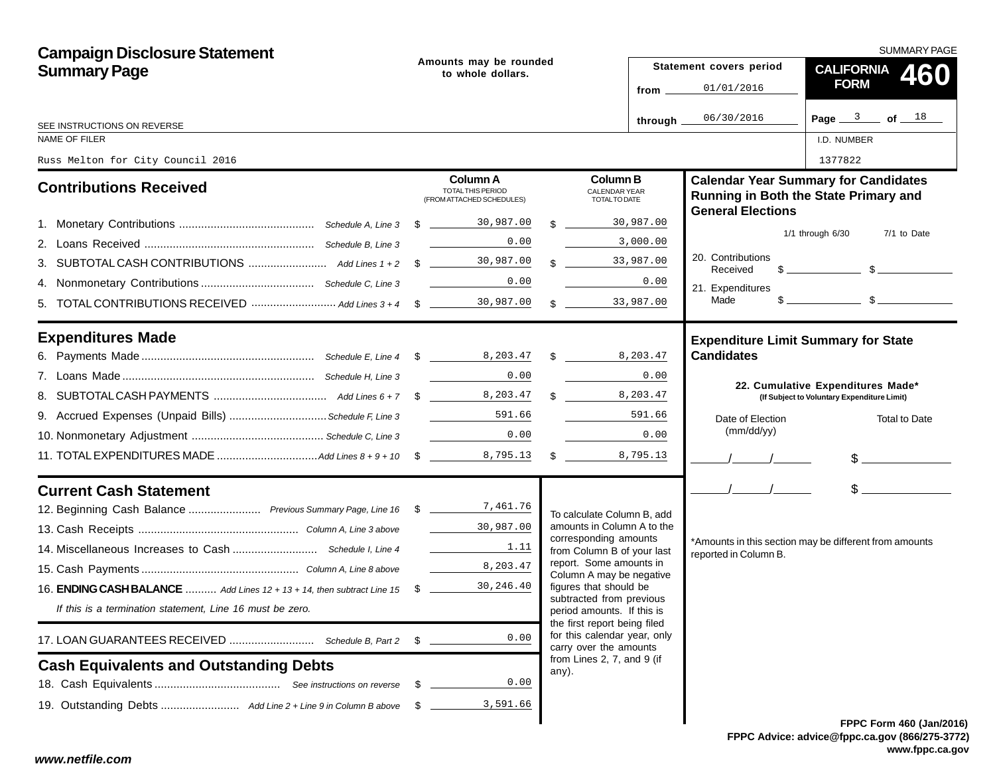| <b>Campaign Disclosure Statement</b>                                                     |      |                                                                       |               |                                                            |                             | <b>SUMMARY PAGE</b>                                             |                                                                                                                                                                                                                                                                                                                     |  |  |
|------------------------------------------------------------------------------------------|------|-----------------------------------------------------------------------|---------------|------------------------------------------------------------|-----------------------------|-----------------------------------------------------------------|---------------------------------------------------------------------------------------------------------------------------------------------------------------------------------------------------------------------------------------------------------------------------------------------------------------------|--|--|
| <b>Summary Page</b>                                                                      |      | Amounts may be rounded<br>to whole dollars.                           |               |                                                            |                             | Statement covers period                                         | CALIFORNIA 460                                                                                                                                                                                                                                                                                                      |  |  |
|                                                                                          |      |                                                                       |               |                                                            | 01/01/2016<br>from $\equiv$ |                                                                 | <b>FORM</b>                                                                                                                                                                                                                                                                                                         |  |  |
| SEE INSTRUCTIONS ON REVERSE                                                              |      |                                                                       |               |                                                            | through _                   | 06/30/2016                                                      | Page $3$ of $18$                                                                                                                                                                                                                                                                                                    |  |  |
| <b>NAME OF FILER</b>                                                                     |      |                                                                       |               |                                                            |                             |                                                                 | I.D. NUMBER                                                                                                                                                                                                                                                                                                         |  |  |
| Russ Melton for City Council 2016                                                        |      |                                                                       |               |                                                            |                             |                                                                 | 1377822                                                                                                                                                                                                                                                                                                             |  |  |
| <b>Contributions Received</b>                                                            |      | Column A<br><b>TOTAL THIS PERIOD</b><br>(FROM ATTACHED SCHEDULES)     |               | <b>Column B</b><br><b>CALENDAR YEAR</b><br>TOTAL TO DATE   |                             | <b>General Elections</b>                                        | <b>Calendar Year Summary for Candidates</b><br>Running in Both the State Primary and                                                                                                                                                                                                                                |  |  |
|                                                                                          |      |                                                                       | $\mathcal{R}$ | 30,987.00                                                  |                             |                                                                 |                                                                                                                                                                                                                                                                                                                     |  |  |
|                                                                                          |      | 0.00                                                                  |               | 3,000.00                                                   |                             |                                                                 | $1/1$ through $6/30$<br>7/1 to Date                                                                                                                                                                                                                                                                                 |  |  |
|                                                                                          |      |                                                                       |               | $\frac{1}{2}$ 33,987.00                                    |                             | 20. Contributions<br>Received                                   | $\frac{1}{2}$ $\frac{1}{2}$ $\frac{1}{2}$ $\frac{1}{2}$ $\frac{1}{2}$ $\frac{1}{2}$ $\frac{1}{2}$ $\frac{1}{2}$ $\frac{1}{2}$ $\frac{1}{2}$ $\frac{1}{2}$ $\frac{1}{2}$ $\frac{1}{2}$ $\frac{1}{2}$ $\frac{1}{2}$ $\frac{1}{2}$ $\frac{1}{2}$ $\frac{1}{2}$ $\frac{1}{2}$ $\frac{1}{2}$ $\frac{1}{2}$ $\frac{1}{2}$ |  |  |
|                                                                                          |      | 0.00                                                                  |               |                                                            | 0.00                        | 21. Expenditures                                                |                                                                                                                                                                                                                                                                                                                     |  |  |
|                                                                                          |      |                                                                       |               | 33,987.00<br>$\frac{1}{2}$                                 |                             | Made                                                            | $\frac{1}{2}$ $\frac{1}{2}$ $\frac{1}{2}$ $\frac{1}{2}$ $\frac{1}{2}$ $\frac{1}{2}$ $\frac{1}{2}$ $\frac{1}{2}$ $\frac{1}{2}$ $\frac{1}{2}$ $\frac{1}{2}$ $\frac{1}{2}$ $\frac{1}{2}$ $\frac{1}{2}$ $\frac{1}{2}$ $\frac{1}{2}$ $\frac{1}{2}$ $\frac{1}{2}$ $\frac{1}{2}$ $\frac{1}{2}$ $\frac{1}{2}$ $\frac{1}{2}$ |  |  |
| <b>Expenditures Made</b>                                                                 |      |                                                                       |               |                                                            |                             | <b>Expenditure Limit Summary for State</b><br><b>Candidates</b> |                                                                                                                                                                                                                                                                                                                     |  |  |
|                                                                                          |      | 0.00<br><u>and the state of the state</u>                             |               |                                                            | 0.00                        |                                                                 |                                                                                                                                                                                                                                                                                                                     |  |  |
|                                                                                          |      |                                                                       |               | 8,203.47                                                   |                             |                                                                 | 22. Cumulative Expenditures Made*<br>(If Subject to Voluntary Expenditure Limit)                                                                                                                                                                                                                                    |  |  |
|                                                                                          |      |                                                                       |               | 591.66                                                     |                             |                                                                 |                                                                                                                                                                                                                                                                                                                     |  |  |
|                                                                                          |      | 0.00                                                                  |               |                                                            | 0.00                        | Date of Election<br>(mm/dd/yy)                                  | <b>Total to Date</b>                                                                                                                                                                                                                                                                                                |  |  |
|                                                                                          |      |                                                                       |               | 8,795.13                                                   |                             |                                                                 | $\frac{1}{2}$                                                                                                                                                                                                                                                                                                       |  |  |
|                                                                                          |      |                                                                       |               |                                                            |                             |                                                                 |                                                                                                                                                                                                                                                                                                                     |  |  |
| <b>Current Cash Statement</b>                                                            |      |                                                                       |               |                                                            |                             | $\sqrt{1}$                                                      | $\frac{1}{2}$                                                                                                                                                                                                                                                                                                       |  |  |
| 12. Beginning Cash Balance  Previous Summary Page, Line 16 \$ ___________7, 461.76       |      |                                                                       |               | To calculate Column B, add                                 |                             |                                                                 |                                                                                                                                                                                                                                                                                                                     |  |  |
|                                                                                          |      | 30,987.00                                                             |               | amounts in Column A to the<br>corresponding amounts        |                             |                                                                 |                                                                                                                                                                                                                                                                                                                     |  |  |
|                                                                                          |      | $\mathcal{L}^{\text{max}}$ , where $\mathcal{L}^{\text{max}}$<br>1.11 |               | from Column B of your last                                 |                             | reported in Column B.                                           | *Amounts in this section may be different from amounts                                                                                                                                                                                                                                                              |  |  |
|                                                                                          |      | 8,203.47                                                              |               | report. Some amounts in<br>Column A may be negative        |                             |                                                                 |                                                                                                                                                                                                                                                                                                                     |  |  |
| 16. <b>ENDING CASH BALANCE</b> Add Lines $12 + 13 + 14$ , then subtract Line $15\degree$ |      | 30,246.40                                                             |               | figures that should be<br>subtracted from previous         |                             |                                                                 |                                                                                                                                                                                                                                                                                                                     |  |  |
| If this is a termination statement, Line 16 must be zero.                                |      |                                                                       |               | period amounts. If this is<br>the first report being filed |                             |                                                                 |                                                                                                                                                                                                                                                                                                                     |  |  |
|                                                                                          |      | 0.00                                                                  |               | for this calendar year, only<br>carry over the amounts     |                             |                                                                 |                                                                                                                                                                                                                                                                                                                     |  |  |
| <b>Cash Equivalents and Outstanding Debts</b>                                            |      |                                                                       |               | from Lines 2, 7, and 9 (if<br>any).                        |                             |                                                                 |                                                                                                                                                                                                                                                                                                                     |  |  |
|                                                                                          | - \$ | 0.00                                                                  |               |                                                            |                             |                                                                 |                                                                                                                                                                                                                                                                                                                     |  |  |
|                                                                                          | - \$ | 3,591.66                                                              |               |                                                            |                             |                                                                 |                                                                                                                                                                                                                                                                                                                     |  |  |
|                                                                                          |      |                                                                       |               |                                                            |                             |                                                                 | FPPC Form 460 (Jan/201                                                                                                                                                                                                                                                                                              |  |  |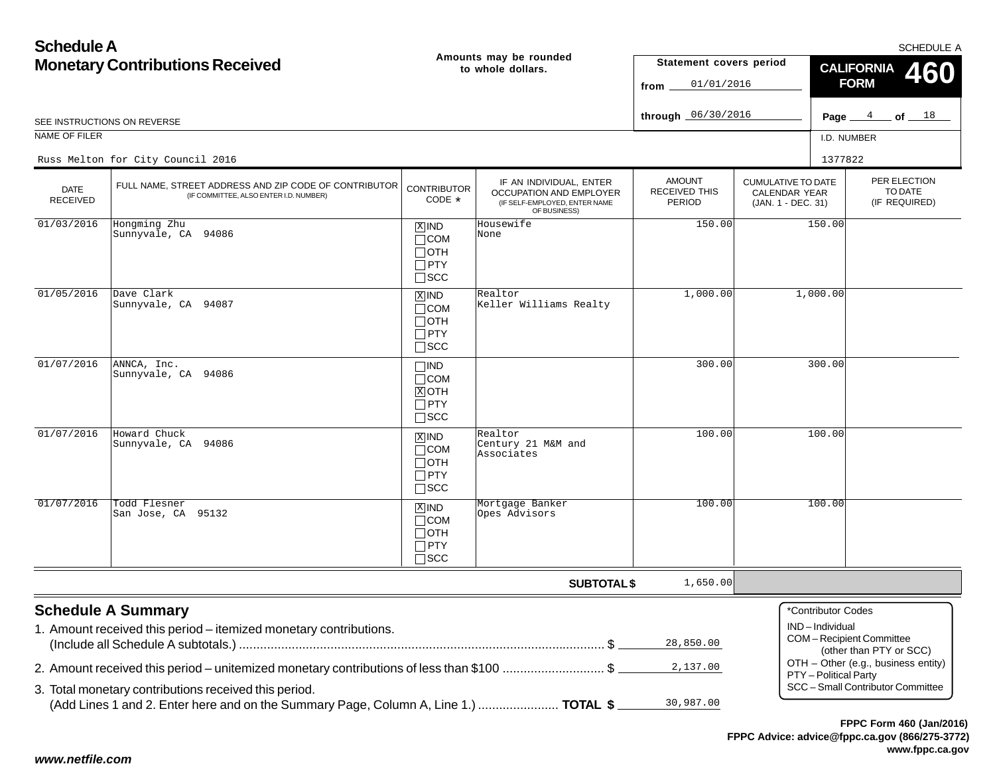**www.fppc.ca.gov**

| <b>Schedule A</b>                      |                                                                                                                                               |                                                                                 |                                                                                                     |                                                        |                                                                  |                                      | SCHEDULE A                                         |  |
|----------------------------------------|-----------------------------------------------------------------------------------------------------------------------------------------------|---------------------------------------------------------------------------------|-----------------------------------------------------------------------------------------------------|--------------------------------------------------------|------------------------------------------------------------------|--------------------------------------|----------------------------------------------------|--|
| <b>Monetary Contributions Received</b> |                                                                                                                                               | Amounts may be rounded<br>to whole dollars.                                     |                                                                                                     |                                                        | Statement covers period<br>01/01/2016                            | <b>CALIFORNIA</b><br><b>FORM</b>     |                                                    |  |
|                                        | SEE INSTRUCTIONS ON REVERSE                                                                                                                   |                                                                                 |                                                                                                     | through 06/30/2016                                     |                                                                  | Page $4$                             | $\_$ of $\_$ $^{18}$                               |  |
| NAME OF FILER                          |                                                                                                                                               |                                                                                 |                                                                                                     |                                                        |                                                                  | I.D. NUMBER                          |                                                    |  |
|                                        | Russ Melton for City Council 2016                                                                                                             |                                                                                 |                                                                                                     |                                                        |                                                                  | 1377822                              |                                                    |  |
| DATE<br><b>RECEIVED</b>                | FULL NAME, STREET ADDRESS AND ZIP CODE OF CONTRIBUTOR<br>(IF COMMITTEE, ALSO ENTER I.D. NUMBER)                                               | <b>CONTRIBUTOR</b><br>CODE *                                                    | IF AN INDIVIDUAL, ENTER<br>OCCUPATION AND EMPLOYER<br>(IF SELF-EMPLOYED, ENTER NAME<br>OF BUSINESS) | <b>AMOUNT</b><br><b>RECEIVED THIS</b><br><b>PERIOD</b> | <b>CUMULATIVE TO DATE</b><br>CALENDAR YEAR<br>(JAN. 1 - DEC. 31) |                                      | PER ELECTION<br>TO DATE<br>(IF REQUIRED)           |  |
| 01/03/2016                             | Hongming Zhu<br>Sunnyvale, CA 94086                                                                                                           | $ \overline{X} $ IND<br>$\Box$ COM<br>$\Box$ OTH<br>$\Box$ PTY<br>$\square$ SCC | Housewife<br>None                                                                                   | 150.00                                                 |                                                                  | 150.00                               |                                                    |  |
| 01/05/2016                             | Dave Clark<br>Sunnyvale, CA 94087                                                                                                             | $X$ IND<br>$\Box$ COM<br>$\Box$ OTH<br>$\Box$ PTY<br>$\square$ SCC              | Realtor<br>Keller Williams Realty                                                                   | 1,000.00                                               |                                                                  | 1,000.00                             |                                                    |  |
| 01/07/2016                             | ANNCA, Inc.<br>Sunnyvale, CA 94086                                                                                                            | $\Box$ IND<br>$\Box$ COM<br>$X$ OTH<br>$\Box$ PTY<br>$\Box$ SCC                 |                                                                                                     | 300.00                                                 |                                                                  | 300.00                               |                                                    |  |
| 01/07/2016                             | Howard Chuck<br>Sunnyvale, CA 94086                                                                                                           | $X$ IND<br>$\Box$ COM<br>$\Box$ oth<br>$\Box$ PTY<br>$\square$ SCC              | Realtor<br>Century 21 M&M and<br>Associates                                                         | 100.00                                                 |                                                                  | 100.00                               |                                                    |  |
| 01/07/2016                             | Todd Flesner<br>San Jose, CA 95132                                                                                                            | $X$ IND<br>$\Box$ COM<br>$\Box$ OTH<br>$\Box$ PTY<br>$\Box$ SCC                 | Mortgage Banker<br>Opes Advisors                                                                    | 100.00                                                 |                                                                  | 100.00                               |                                                    |  |
|                                        |                                                                                                                                               |                                                                                 | <b>SUBTOTAL \$</b>                                                                                  | 1,650.00                                               |                                                                  |                                      |                                                    |  |
|                                        | <b>Schedule A Summary</b><br>1. Amount received this period - itemized monetary contributions.                                                |                                                                                 |                                                                                                     | 28,850.00                                              |                                                                  | *Contributor Codes<br>IND-Individual | COM-Recipient Committee<br>(other than PTY or SCC) |  |
|                                        | 2. Amount received this period – unitemized monetary contributions of less than \$100 \$                                                      |                                                                                 |                                                                                                     | 2,137.00                                               |                                                                  | PTY - Political Party                | OTH - Other (e.g., business entity)                |  |
|                                        | 3. Total monetary contributions received this period.<br>(Add Lines 1 and 2. Enter here and on the Summary Page, Column A, Line 1.)  TOTAL \$ |                                                                                 |                                                                                                     | 30,987.00                                              |                                                                  |                                      | SCC - Small Contributor Committee                  |  |
|                                        |                                                                                                                                               |                                                                                 |                                                                                                     |                                                        |                                                                  |                                      | FPPC Form 460 (Jan/2016)                           |  |

### *www.netfile.com*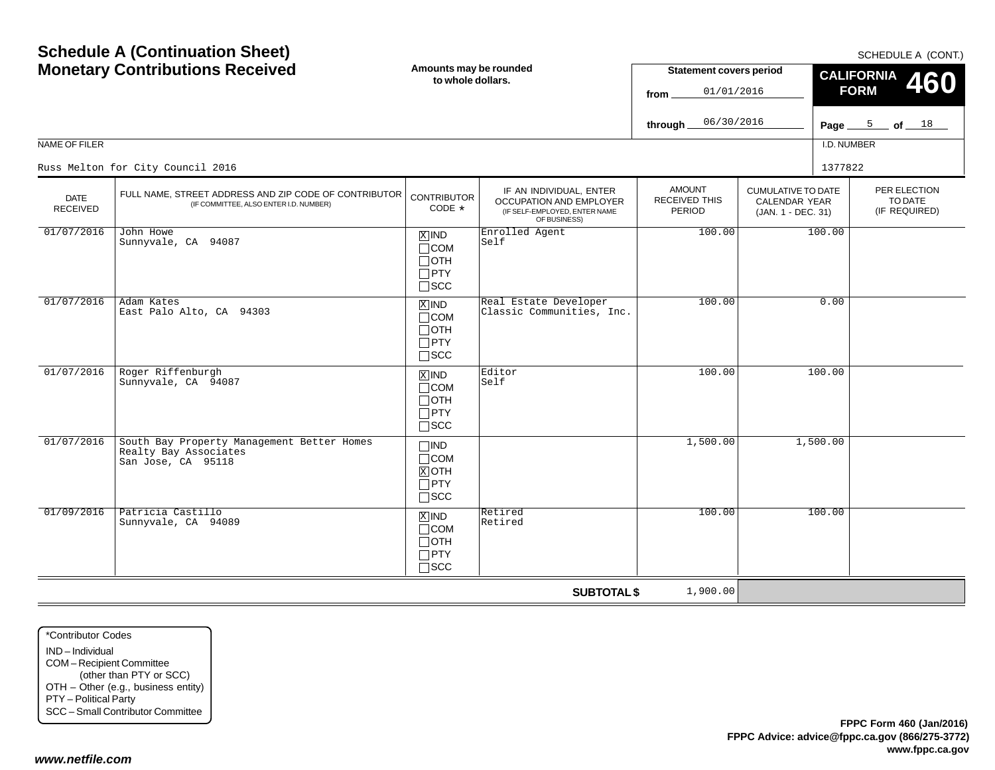|                         | <b>Monetary Contributions Received</b>                                                          | Amounts may be rounded<br>to whole dollars.                                  |                                                                                                     | <b>Statement covers period</b><br>01/01/2016<br>from |                                                                         | CALIFORNIA 460<br><b>FORM</b> |                                          |
|-------------------------|-------------------------------------------------------------------------------------------------|------------------------------------------------------------------------------|-----------------------------------------------------------------------------------------------------|------------------------------------------------------|-------------------------------------------------------------------------|-------------------------------|------------------------------------------|
|                         |                                                                                                 |                                                                              |                                                                                                     | 06/30/2016<br>through_                               |                                                                         |                               | Page $5$ of $18$                         |
| NAME OF FILER           |                                                                                                 |                                                                              |                                                                                                     |                                                      |                                                                         | I.D. NUMBER                   |                                          |
|                         | Russ Melton for City Council 2016                                                               |                                                                              |                                                                                                     |                                                      |                                                                         | 1377822                       |                                          |
| <b>DATE</b><br>RECEIVED | FULL NAME, STREET ADDRESS AND ZIP CODE OF CONTRIBUTOR<br>(IF COMMITTEE, ALSO ENTER I.D. NUMBER) | <b>CONTRIBUTOR</b><br>CODE *                                                 | IF AN INDIVIDUAL, ENTER<br>OCCUPATION AND EMPLOYER<br>(IF SELF-EMPLOYED, ENTER NAME<br>OF BUSINESS) | <b>AMOUNT</b><br><b>RECEIVED THIS</b><br>PERIOD      | <b>CUMULATIVE TO DATE</b><br><b>CALENDAR YEAR</b><br>(JAN. 1 - DEC. 31) |                               | PER ELECTION<br>TO DATE<br>(IF REQUIRED) |
| 01/07/2016              | John Howe<br>Sunnyvale, CA 94087                                                                | $X$ IND<br>$\Box$ COM<br>$\Box$ OTH<br>$\square$ PTY<br>$\sqcap$ scc         | Enrolled Agent<br> Self                                                                             | 100.00                                               |                                                                         | 100.00                        |                                          |
| 01/07/2016              | Adam Kates<br>East Palo Alto, CA 94303                                                          | $\overline{X}$ IND<br>$\Box$ COM<br>$\sqcap$ OTH<br>$\Box$ PTY<br>$\Box$ SCC | Real Estate Developer<br>Classic Communities, Inc.                                                  | 100.00                                               |                                                                         | 0.00                          |                                          |
| 01/07/2016              | Roger Riffenburgh<br>Sunnyvale, CA 94087                                                        | $X$ IND<br>$\sqcap$ COM<br>$\sqcap$ OTH<br>$\Box$ PTY<br>$\Box$ scc          | Editor<br>Self                                                                                      | 100.00                                               |                                                                         | 100.00                        |                                          |
| 01/07/2016              | South Bay Property Management Better Homes<br>Realty Bay Associates<br>San Jose, CA 95118       | $\neg$ IND<br>$\sqcap$ COM<br>$X$ OTH<br>$\Box$ PTY<br>$\Box$ scc            |                                                                                                     | 1,500.00                                             |                                                                         | 1,500.00                      |                                          |
| 01/09/2016              | Patricia Castillo<br>Sunnyvale, CA 94089                                                        | $X$ IND<br>$\Box$ COM<br>$\Box$ oth<br>$\Box$ PTY<br>$\sqcap$ SCC            | Retired<br>Retired                                                                                  | 100.00                                               |                                                                         | 100.00                        |                                          |
|                         |                                                                                                 |                                                                              | <b>SUBTOTAL \$</b>                                                                                  | 1,900.00                                             |                                                                         |                               |                                          |

\*Contributor CodesIND – Individual COM – Recipient Committee (other than PTY or SCC) OTH – Other (e.g., business entity) PTY – Political Party SCC – Small Contributor Committee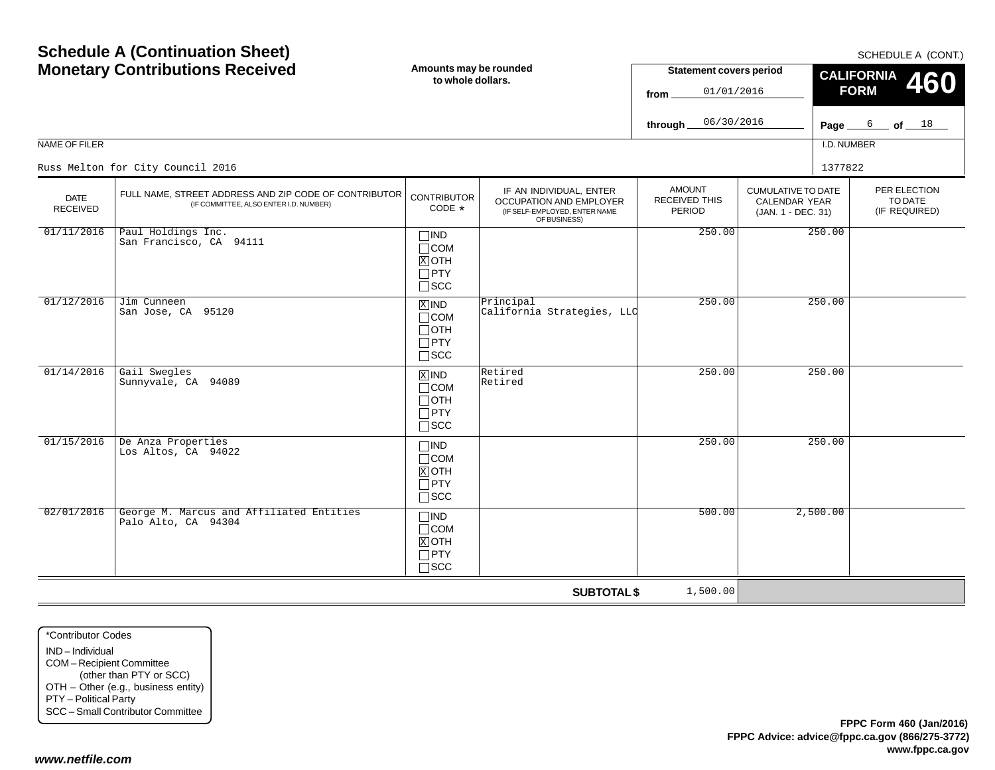|                                | <b>Schedule A (Continuation Sheet)</b><br><b>Monetary Contributions Received</b>                | Amounts may be rounded<br>to whole dollars.                                   |                                                                                                     | <b>Statement covers period</b><br>01/01/2016<br>from<br>06/30/2016<br>through |                                                                         | SCHEDULE A (CONT.)<br><b>CALIFORNIA</b><br>460<br><b>FORM</b><br>6 of $18$<br>Page $\equiv$<br>I.D. NUMBER |
|--------------------------------|-------------------------------------------------------------------------------------------------|-------------------------------------------------------------------------------|-----------------------------------------------------------------------------------------------------|-------------------------------------------------------------------------------|-------------------------------------------------------------------------|------------------------------------------------------------------------------------------------------------|
| NAME OF FILER                  | Russ Melton for City Council 2016                                                               |                                                                               |                                                                                                     |                                                                               |                                                                         | 1377822                                                                                                    |
| <b>DATE</b><br><b>RECEIVED</b> | FULL NAME, STREET ADDRESS AND ZIP CODE OF CONTRIBUTOR<br>(IF COMMITTEE, ALSO ENTER I.D. NUMBER) | <b>CONTRIBUTOR</b><br>CODE *                                                  | IF AN INDIVIDUAL, ENTER<br>OCCUPATION AND EMPLOYER<br>(IF SELF-EMPLOYED, ENTER NAME<br>OF BUSINESS) | <b>AMOUNT</b><br><b>RECEIVED THIS</b><br>PERIOD                               | <b>CUMULATIVE TO DATE</b><br><b>CALENDAR YEAR</b><br>(JAN. 1 - DEC. 31) | PER ELECTION<br>TO DATE<br>(IF REQUIRED)                                                                   |
| 01/11/2016                     | Paul Holdings Inc.<br>San Francisco, CA 94111                                                   | $\Box$ IND<br>$\Box$ COM<br>$X$ OTH<br>$\Box$ PTY<br>$\Box$ scc               |                                                                                                     | 250.00                                                                        |                                                                         | 250.00                                                                                                     |
| 01/12/2016                     | Jim Cunneen<br>San Jose, CA 95120                                                               | $\overline{X}$ IND<br>$\Box$ COM<br>$\Box$ OTH<br>$\Box$ PTY<br>$\square$ SCC | Principal<br>California Strategies, LLC                                                             | 250.00                                                                        |                                                                         | 250.00                                                                                                     |
| 01/14/2016                     | Gail Swegles<br>Sunnyvale, CA 94089                                                             | $\overline{X}$ IND<br>$\Box$ COM<br>$\Box$ OTH<br>$\Box$ PTY<br>$\square$ SCC | Retired<br>Retired                                                                                  | 250.00                                                                        |                                                                         | 250.00                                                                                                     |
| 01/15/2016                     | De Anza Properties<br>Los Altos, CA 94022                                                       | $\Box$ IND<br>$\Box$ COM<br>$X$ OTH<br>$\Box$ PTY<br>$\Box$ scc               |                                                                                                     | 250.00                                                                        |                                                                         | 250.00                                                                                                     |
| 02/01/2016                     | George M. Marcus and Affiliated Entities<br>Palo Alto, CA 94304                                 | $\Box$ IND<br>$\Box$ COM<br>$X$ OTH<br>$\Box$ PTY<br>$\Box$ scc               |                                                                                                     | 500.00                                                                        |                                                                         | 2,500.00                                                                                                   |
|                                |                                                                                                 |                                                                               | <b>SUBTOTAL \$</b>                                                                                  | 1,500.00                                                                      |                                                                         |                                                                                                            |

\*Contributor CodesIND – IndividualCOM – Recipient Committee (other than PTY or SCC) OTH – Other (e.g., business entity) PTY – Political Party SCC – Small Contributor Committee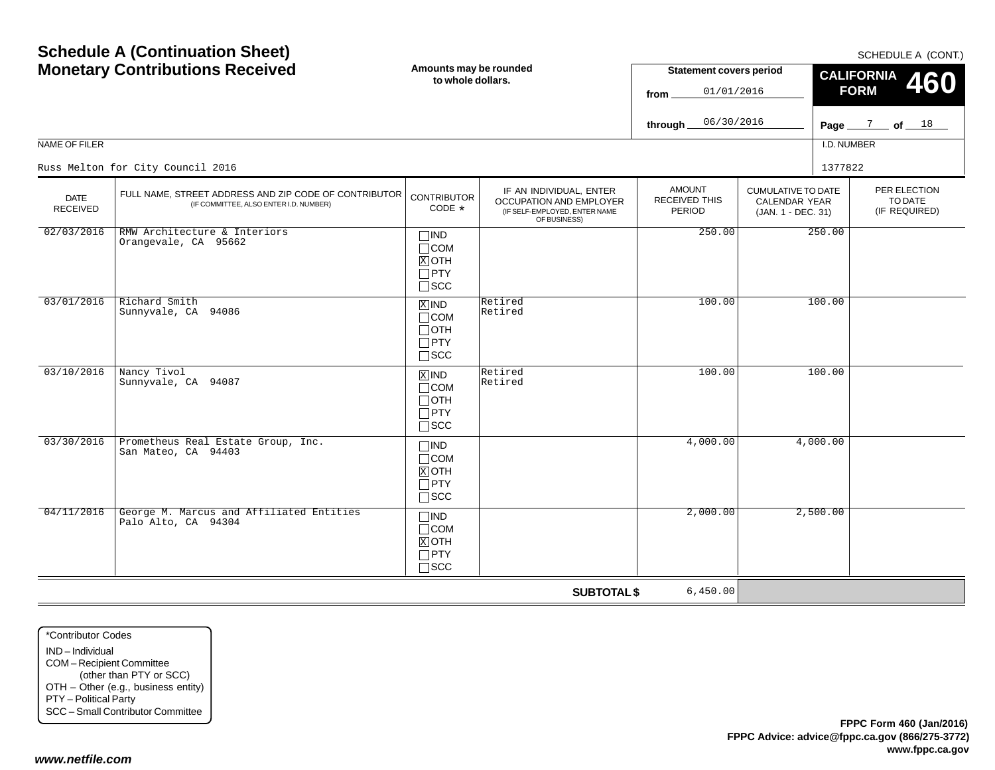| <b>Monetary Contributions Received</b> |                                                                                                 | Amounts may be rounded<br>to whole dollars.                                |                                                                                                     |                                          | <b>Statement covers period</b><br>01/01/2016                     | 001110011171001111<br><b>CALIFORNIA</b><br>460<br><b>FORM</b> |                                          |  |
|----------------------------------------|-------------------------------------------------------------------------------------------------|----------------------------------------------------------------------------|-----------------------------------------------------------------------------------------------------|------------------------------------------|------------------------------------------------------------------|---------------------------------------------------------------|------------------------------------------|--|
|                                        |                                                                                                 |                                                                            |                                                                                                     | 06/30/2016<br>through_                   |                                                                  |                                                               | Page $\frac{7}{2}$ of $\frac{18}{2}$     |  |
| NAME OF FILER                          |                                                                                                 |                                                                            |                                                                                                     |                                          |                                                                  | I.D. NUMBER                                                   |                                          |  |
|                                        | Russ Melton for City Council 2016                                                               |                                                                            |                                                                                                     |                                          |                                                                  | 1377822                                                       |                                          |  |
| <b>DATE</b><br><b>RECEIVED</b>         | FULL NAME, STREET ADDRESS AND ZIP CODE OF CONTRIBUTOR<br>(IF COMMITTEE, ALSO ENTER I.D. NUMBER) | <b>CONTRIBUTOR</b><br>CODE *                                               | IF AN INDIVIDUAL, ENTER<br>OCCUPATION AND EMPLOYER<br>(IF SELF-EMPLOYED, ENTER NAME<br>OF BUSINESS) | <b>AMOUNT</b><br>RECEIVED THIS<br>PERIOD | <b>CUMULATIVE TO DATE</b><br>CALENDAR YEAR<br>(JAN. 1 - DEC. 31) |                                                               | PER ELECTION<br>TO DATE<br>(IF REQUIRED) |  |
| 02/03/2016                             | RMW Architecture & Interiors<br>Orangevale, CA 95662                                            | $\square$ IND<br>$\Box$ COM<br>$X$ OTH<br>$\Box$ PTY<br>$\Box$ scc         |                                                                                                     | 250.00                                   |                                                                  | 250.00                                                        |                                          |  |
| 03/01/2016                             | Richard Smith<br>Sunnyvale, CA 94086                                                            | $\overline{X}$ IND<br>$\Box$ COM<br>$\Box$ oth<br>$\Box$ PTY<br>$\Box$ scc | Retired<br>Retired                                                                                  | 100.00                                   |                                                                  | 100.00                                                        |                                          |  |
| 03/10/2016                             | Nancy Tivol<br>Sunnyvale, CA 94087                                                              | $X$ IND<br>$\Box$ COM<br>Потн<br>$\Box$ PTY<br>$\Box$ scc                  | Retired<br>Retired                                                                                  | 100.00                                   |                                                                  | 100.00                                                        |                                          |  |
| 03/30/2016                             | Prometheus Real Estate Group, Inc.<br>San Mateo, CA 94403                                       | $\Box$ IND<br>$\Box$ COM<br>$X$ OTH<br>$\Box$ PTY<br>$\square$ SCC         |                                                                                                     | 4,000.00                                 |                                                                  | 4,000.00                                                      |                                          |  |
| 04/11/2016                             | George M. Marcus and Affiliated Entities<br>Palo Alto, CA 94304                                 | $\square$ IND<br>$\Box$ COM<br>$X$ OTH<br>$\Box$ PTY<br>$\square$ SCC      |                                                                                                     | 2,000.00                                 |                                                                  | 2,500.00                                                      |                                          |  |
|                                        |                                                                                                 |                                                                            | <b>SUBTOTAL \$</b>                                                                                  | 6,450.00                                 |                                                                  |                                                               |                                          |  |

\*Contributor CodesIND – Individual COM – Recipient Committee (other than PTY or SCC) OTH – Other (e.g., business entity) PTY – Political Party SCC – Small Contributor Committee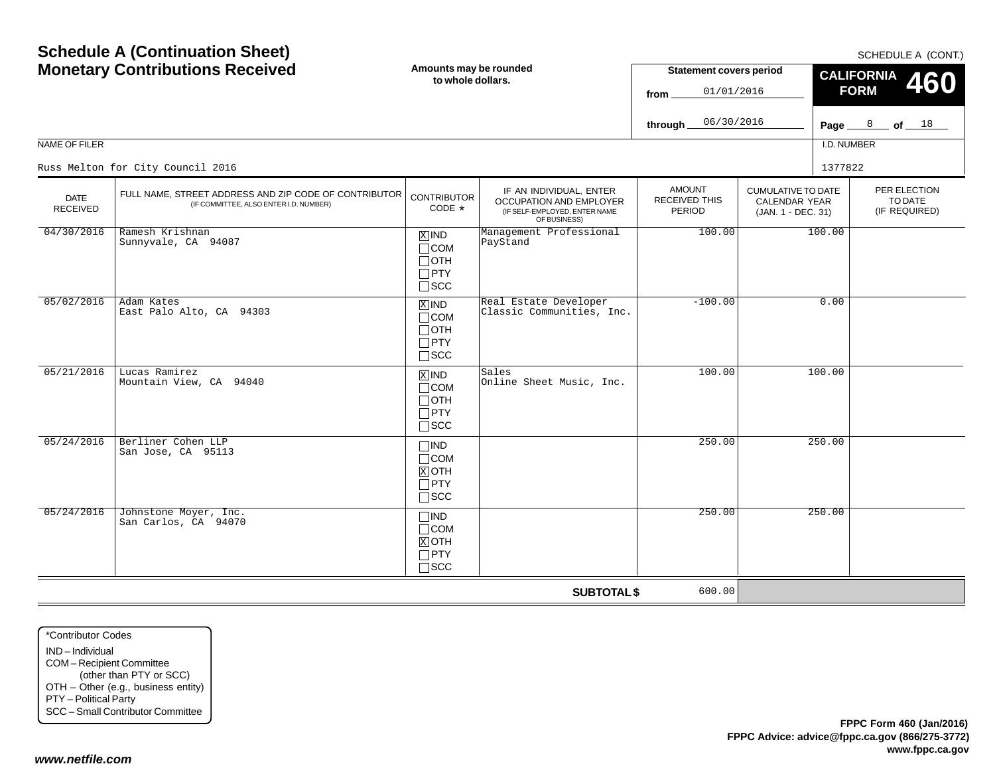| NAME OF FILER                  | <b>Schedule A (Continuation Sheet)</b><br><b>Monetary Contributions Received</b>                | Amounts may be rounded<br>to whole dollars.                           |                                                                                                      | <b>Statement covers period</b><br>01/01/2016<br>from<br>06/30/2016<br>through |                                                                  | SCHEDULE A (CONT.)<br><b>CALIFORNIA</b><br>460<br><b>FORM</b><br>Page $\frac{8}{18}$ of $\frac{18}{18}$<br>I.D. NUMBER |
|--------------------------------|-------------------------------------------------------------------------------------------------|-----------------------------------------------------------------------|------------------------------------------------------------------------------------------------------|-------------------------------------------------------------------------------|------------------------------------------------------------------|------------------------------------------------------------------------------------------------------------------------|
|                                | Russ Melton for City Council 2016                                                               |                                                                       |                                                                                                      |                                                                               |                                                                  | 1377822                                                                                                                |
| <b>DATE</b><br><b>RECEIVED</b> | FULL NAME, STREET ADDRESS AND ZIP CODE OF CONTRIBUTOR<br>(IF COMMITTEE, ALSO ENTER I.D. NUMBER) | <b>CONTRIBUTOR</b><br>CODE $*$                                        | IF AN INDIVIDUAL, ENTER<br>OCCUPATION AND EMPLOYER<br>(IF SELF-EMPLOYED, ENTER NAME)<br>OF BUSINESS) | <b>AMOUNT</b><br><b>RECEIVED THIS</b><br>PERIOD                               | <b>CUMULATIVE TO DATE</b><br>CALENDAR YEAR<br>(JAN. 1 - DEC. 31) | PER ELECTION<br>TO DATE<br>(IF REQUIRED)                                                                               |
| 04/30/2016                     | Ramesh Krishnan<br>Sunnyvale, CA 94087                                                          | $X$ IND<br>$\Box$ COM<br>$\Box$ OTH<br>$\Box$ PTY<br>$\sqcap$ scc     | Management Professional<br>PayStand                                                                  | 100.00                                                                        |                                                                  | 100.00                                                                                                                 |
| 05/02/2016                     | Adam Kates<br>East Palo Alto, CA 94303                                                          | $X$ IND<br>$\Box$ COM<br>$\Box$ oth<br>$\Box$ PTY<br>$\square$ SCC    | Real Estate Developer<br>Classic Communities, Inc.                                                   | $-100.00$                                                                     |                                                                  | 0.00                                                                                                                   |
| 05/21/2016                     | Lucas Ramirez<br>Mountain View, CA 94040                                                        | $x$ IND<br>$\Box$ COM<br>$\Box$ OTH<br>$\Box$ PTY<br>$\square$ SCC    | Sales<br>Online Sheet Music, Inc.                                                                    | 100.00                                                                        |                                                                  | 100.00                                                                                                                 |
| 05/24/2016                     | Berliner Cohen LLP<br>San Jose, CA 95113                                                        | $\square$ IND<br>$\Box$ COM<br>$X$ OTH<br>$\Box$ PTY<br>$\square$ scc |                                                                                                      | 250.00                                                                        |                                                                  | 250.00                                                                                                                 |
| 05/24/2016                     | Johnstone Moyer, Inc.<br>San Carlos, CA 94070                                                   | $\Box$ IND<br>$\Box$ COM<br>$X$ OTH<br>$\Box$ PTY<br>$\Box$ scc       |                                                                                                      | 250.00                                                                        |                                                                  | 250.00                                                                                                                 |
|                                |                                                                                                 |                                                                       | <b>SUBTOTAL \$</b>                                                                                   | 600.00                                                                        |                                                                  |                                                                                                                        |

\*Contributor CodesIND – IndividualCOM – Recipient Committee (other than PTY or SCC) OTH – Other (e.g., business entity) PTY – Political Party SCC – Small Contributor Committee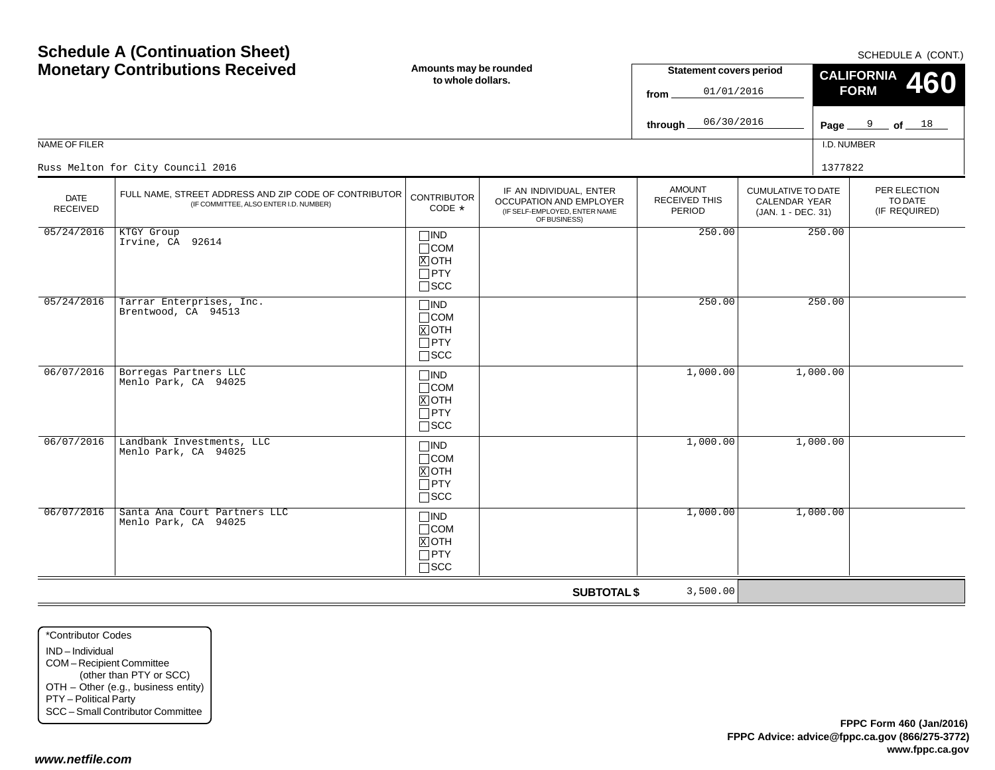| <b>Monetary Contributions Received</b> |                                                                                                 | Amounts may be rounded<br>to whole dollars.                        |                                                                                                     | <b>Statement covers period</b><br>01/01/2016<br>from |                                                                  | <b>CALIFORNIA</b><br><b>460</b><br><b>FORM</b> |                                          |
|----------------------------------------|-------------------------------------------------------------------------------------------------|--------------------------------------------------------------------|-----------------------------------------------------------------------------------------------------|------------------------------------------------------|------------------------------------------------------------------|------------------------------------------------|------------------------------------------|
|                                        |                                                                                                 |                                                                    |                                                                                                     | 06/30/2016<br>through $\overline{\phantom{a}}$       |                                                                  |                                                | Page $9$ of $18$                         |
| <b>NAME OF FILER</b>                   |                                                                                                 |                                                                    |                                                                                                     |                                                      |                                                                  | I.D. NUMBER                                    |                                          |
|                                        | Russ Melton for City Council 2016                                                               |                                                                    |                                                                                                     |                                                      |                                                                  | 1377822                                        |                                          |
| <b>DATE</b><br><b>RECEIVED</b>         | FULL NAME, STREET ADDRESS AND ZIP CODE OF CONTRIBUTOR<br>(IF COMMITTEE, ALSO ENTER I.D. NUMBER) | <b>CONTRIBUTOR</b><br>CODE *                                       | IF AN INDIVIDUAL, ENTER<br>OCCUPATION AND EMPLOYER<br>(IF SELF-EMPLOYED, ENTER NAME<br>OF BUSINESS) | <b>AMOUNT</b><br>RECEIVED THIS<br><b>PERIOD</b>      | <b>CUMULATIVE TO DATE</b><br>CALENDAR YEAR<br>(JAN. 1 - DEC. 31) |                                                | PER ELECTION<br>TO DATE<br>(IF REQUIRED) |
| 05/24/2016                             | KTGY Group<br>Irvine, CA 92614                                                                  | $\Box$ IND<br>$\Box$ COM<br>$X$ OTH<br>$\Box$ PTY<br>$\square$ SCC |                                                                                                     | 250.00                                               |                                                                  | 250.00                                         |                                          |
| 05/24/2016                             | Tarrar Enterprises, Inc.<br>Brentwood, CA 94513                                                 | $\Box$ IND<br>$\Box$ COM<br>$X$ OTH<br>$\Box$ PTY<br>$\square$ SCC |                                                                                                     | 250.00                                               |                                                                  | 250.00                                         |                                          |
| 06/07/2016                             | Borregas Partners LLC<br>Menlo Park, CA 94025                                                   | $\Box$ IND<br>$\Box$ COM<br>$X$ OTH<br>$\Box$ PTY<br>$\square$ SCC |                                                                                                     | 1,000.00                                             |                                                                  | 1,000.00                                       |                                          |
| 06/07/2016                             | Landbank Investments, LLC<br>Menlo Park, CA 94025                                               | $\Box$ IND<br>$\Box$ COM<br>$X$ OTH<br>$\Box$ PTY<br>$\square$ SCC |                                                                                                     | 1,000.00                                             |                                                                  | 1,000.00                                       |                                          |
| 06/07/2016                             | Santa Ana Court Partners LLC<br>Menlo Park, CA 94025                                            | $\Box$ IND<br>$\Box$ COM<br>$X$ OTH<br>$\Box$ PTY<br>$\square$ SCC |                                                                                                     | 1,000.00                                             |                                                                  | 1,000.00                                       |                                          |
|                                        |                                                                                                 |                                                                    | <b>SUBTOTAL \$</b>                                                                                  | 3,500.00                                             |                                                                  |                                                |                                          |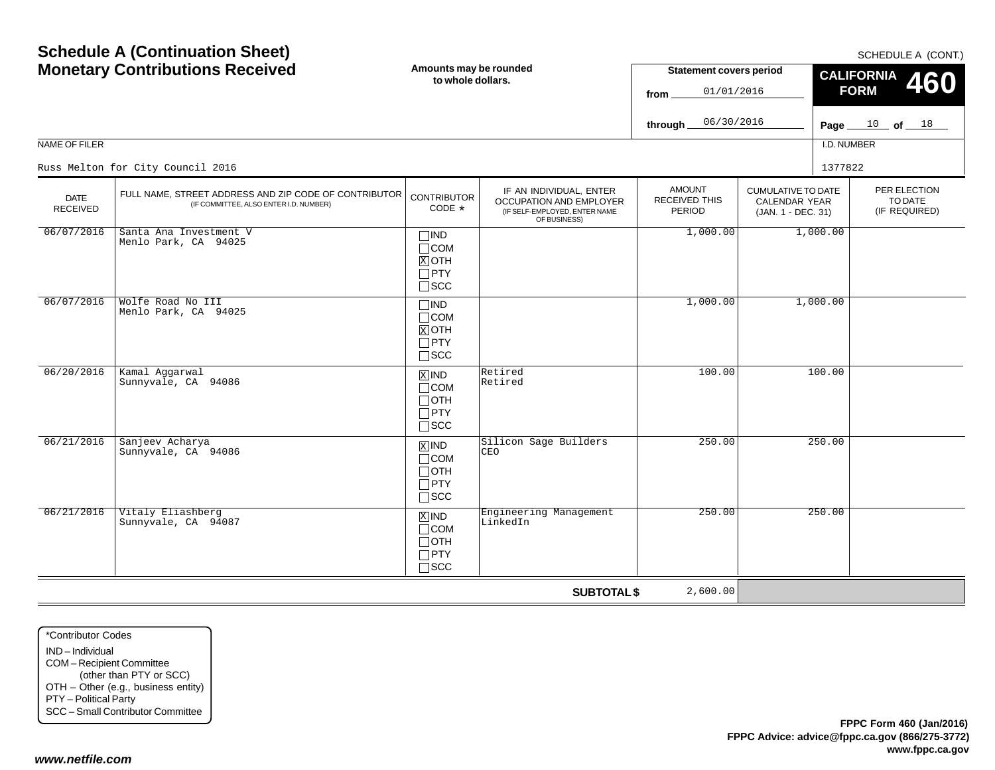| <b>Monetary Contributions Received</b> |                                                                                                 | Amounts may be rounded<br>to whole dollars.                        |                                                                                                     | <b>Statement covers period</b><br>01/01/2016<br>from |                                                                  | <b>CALIFORNIA</b><br>460<br><b>FORM</b> |                                          |
|----------------------------------------|-------------------------------------------------------------------------------------------------|--------------------------------------------------------------------|-----------------------------------------------------------------------------------------------------|------------------------------------------------------|------------------------------------------------------------------|-----------------------------------------|------------------------------------------|
|                                        |                                                                                                 |                                                                    |                                                                                                     | 06/30/2016<br>through.                               |                                                                  |                                         | Page $10$ of $18$                        |
| NAME OF FILER                          |                                                                                                 |                                                                    |                                                                                                     |                                                      |                                                                  | I.D. NUMBER                             |                                          |
|                                        | Russ Melton for City Council 2016                                                               |                                                                    |                                                                                                     |                                                      |                                                                  | 1377822                                 |                                          |
| <b>DATE</b><br><b>RECEIVED</b>         | FULL NAME, STREET ADDRESS AND ZIP CODE OF CONTRIBUTOR<br>(IF COMMITTEE, ALSO ENTER I.D. NUMBER) | <b>CONTRIBUTOR</b><br>CODE *                                       | IF AN INDIVIDUAL, ENTER<br>OCCUPATION AND EMPLOYER<br>(IF SELF-EMPLOYED, ENTER NAME<br>OF BUSINESS) | <b>AMOUNT</b><br>RECEIVED THIS<br>PERIOD             | <b>CUMULATIVE TO DATE</b><br>CALENDAR YEAR<br>(JAN. 1 - DEC. 31) |                                         | PER ELECTION<br>TO DATE<br>(IF REQUIRED) |
| 06/07/2016                             | Santa Ana Investment V<br>Menlo Park, CA 94025                                                  | $\Box$ IND<br>$\Box$ COM<br>$X$ OTH<br>$\Box$ PTY<br>$\square$ SCC |                                                                                                     | 1,000.00                                             |                                                                  | 1,000.00                                |                                          |
| 06/07/2016                             | Wolfe Road No III<br>Menlo Park, CA 94025                                                       | $\Box$ IND<br>$\Box$ COM<br>$X$ OTH<br>$\Box$ PTY<br>$\square$ SCC |                                                                                                     | 1,000.00                                             |                                                                  | 1,000.00                                |                                          |
| 06/20/2016                             | Kamal Aggarwal<br>Sunnyvale, CA 94086                                                           | $X$ IND<br>$\Box$ COM<br>$\Box$ OTH<br>$\Box$ PTY<br>$\square$ SCC | Retired<br>Retired                                                                                  | 100.00                                               |                                                                  | 100.00                                  |                                          |
| 06/21/2016                             | Sanjeev Acharya<br>Sunnyvale, CA 94086                                                          | $X$ IND<br>$\Box$ COM<br>$\Box$ OTH<br>$\Box$ PTY<br>$\square$ SCC | Silicon Sage Builders<br>CEO                                                                        | 250.00                                               |                                                                  | 250.00                                  |                                          |
| 06/21/2016                             | Vitaly Eliashberg<br>Sunnyvale, CA 94087                                                        | $X$ IND<br>$\Box$ COM<br>$\Box$ OTH<br>$\Box$ PTY<br>$\square$ SCC | Engineering Management<br>LinkedIn                                                                  | 250.00                                               |                                                                  | 250.00                                  |                                          |
|                                        |                                                                                                 |                                                                    | <b>SUBTOTAL \$</b>                                                                                  | 2,600.00                                             |                                                                  |                                         |                                          |

\*Contributor CodesIND – Individual COM – Recipient Committee (other than PTY or SCC) OTH – Other (e.g., business entity) PTY – Political Party SCC – Small Contributor Committee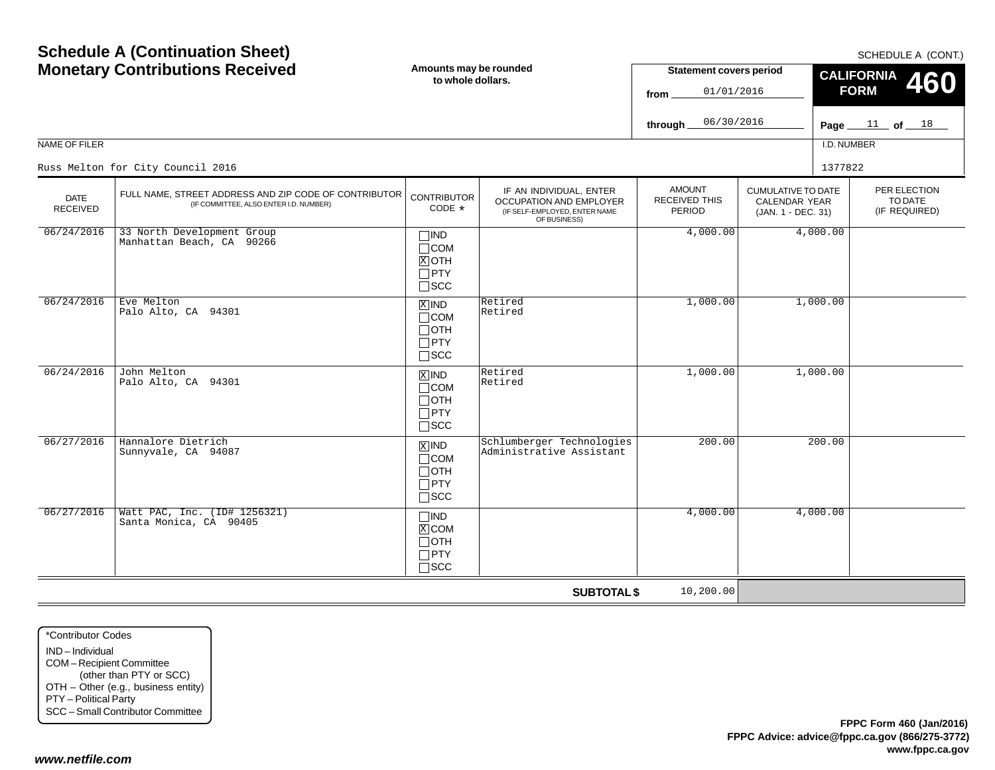| <b>Monetary Contributions Received</b> |                                                                                                 | Amounts may be rounded<br>to whole dollars.                                   |                                                                                                     | <b>Statement covers period</b><br>01/01/2016<br>from |                                                                  | <b>CALIFORNIA</b><br>460<br><b>FORM</b> |                                          |
|----------------------------------------|-------------------------------------------------------------------------------------------------|-------------------------------------------------------------------------------|-----------------------------------------------------------------------------------------------------|------------------------------------------------------|------------------------------------------------------------------|-----------------------------------------|------------------------------------------|
|                                        |                                                                                                 |                                                                               |                                                                                                     | 06/30/2016<br>through.                               |                                                                  |                                         | Page $11$ of $18$                        |
| NAME OF FILER                          |                                                                                                 |                                                                               |                                                                                                     |                                                      |                                                                  | I.D. NUMBER                             |                                          |
|                                        | Russ Melton for City Council 2016                                                               |                                                                               |                                                                                                     |                                                      |                                                                  | 1377822                                 |                                          |
| <b>DATE</b><br><b>RECEIVED</b>         | FULL NAME, STREET ADDRESS AND ZIP CODE OF CONTRIBUTOR<br>(IF COMMITTEE, ALSO ENTER I.D. NUMBER) | <b>CONTRIBUTOR</b><br>CODE *                                                  | IF AN INDIVIDUAL, ENTER<br>OCCUPATION AND EMPLOYER<br>(IF SELF-EMPLOYED, ENTER NAME<br>OF BUSINESS) | <b>AMOUNT</b><br>RECEIVED THIS<br>PERIOD             | <b>CUMULATIVE TO DATE</b><br>CALENDAR YEAR<br>(JAN. 1 - DEC. 31) |                                         | PER ELECTION<br>TO DATE<br>(IF REQUIRED) |
| 06/24/2016                             | 33 North Development Group<br>Manhattan Beach, CA 90266                                         | $\Box$ IND<br>$\Box$ COM<br>$X$ OTH<br>$\Box$ PTY<br>$\square$ SCC            |                                                                                                     | 4,000.00                                             |                                                                  | 4,000.00                                |                                          |
| 06/24/2016                             | Eve Melton<br>Palo Alto, CA 94301                                                               | $X$ IND<br>$\Box$ COM<br>$\Box$ OTH<br>$\Box$ PTY<br>$\square$ SCC            | Retired<br>Retired                                                                                  | 1,000.00                                             |                                                                  | 1,000.00                                |                                          |
| 06/24/2016                             | John Melton<br>Palo Alto, CA 94301                                                              | $X$ IND<br>$\Box$ COM<br>$\Box$ OTH<br>$\Box$ PTY<br>$\square$ SCC            | Retired<br>Retired                                                                                  | 1,000.00                                             |                                                                  | 1,000.00                                |                                          |
| 06/27/2016                             | Hannalore Dietrich<br>Sunnyvale, CA 94087                                                       | $\overline{X}$ IND<br>$\Box$ COM<br>$\Box$ OTH<br>$\Box$ PTY<br>$\square$ SCC | Schlumberger Technologies<br>Administrative Assistant                                               | 200.00                                               |                                                                  | 200.00                                  |                                          |
| 06/27/2016                             | Watt PAC, Inc. (ID# 1256321)<br>Santa Monica, CA 90405                                          | $\Box$ IND<br>$X$ COM<br>$\Box$ OTH<br>$\Box$ PTY<br>$\Box$ scc               |                                                                                                     | 4,000.00                                             |                                                                  | 4,000.00                                |                                          |
|                                        |                                                                                                 |                                                                               | <b>SUBTOTAL \$</b>                                                                                  | 10,200.00                                            |                                                                  |                                         |                                          |

\*Contributor CodesIND – Individual COM – Recipient Committee (other than PTY or SCC) OTH – Other (e.g., business entity) PTY – Political Party SCC – Small Contributor Committee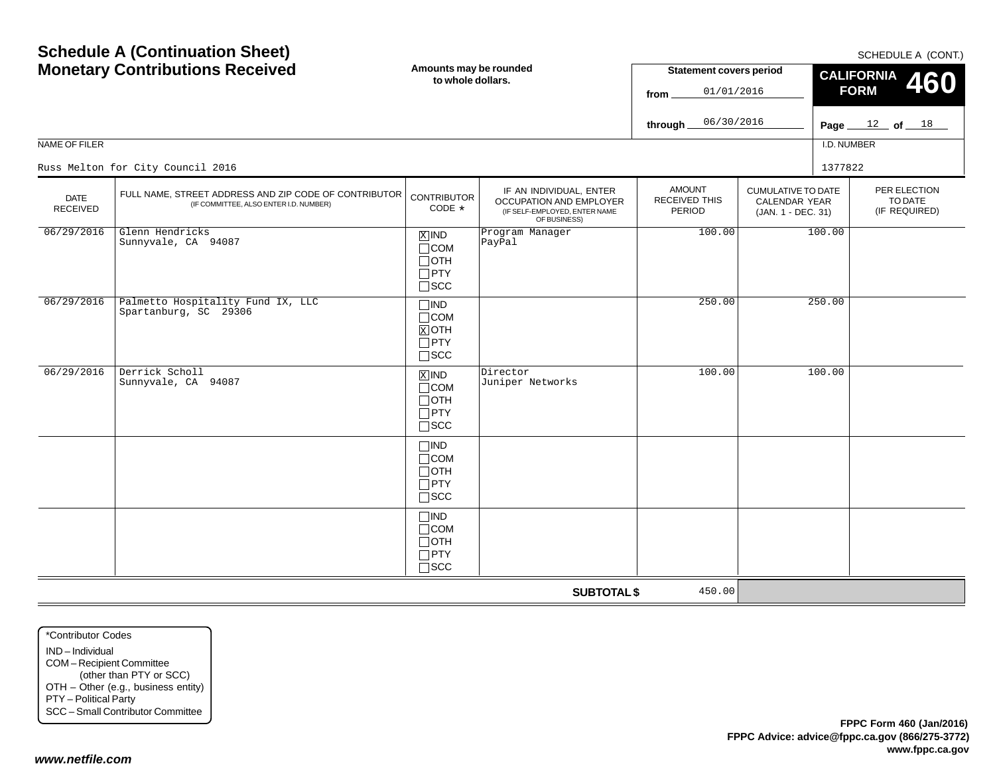| NAME OF FILER                  | <b>Schedule A (Continuation Sheet)</b><br><b>Monetary Contributions Received</b>                | Amounts may be rounded<br>to whole dollars.                                   |                                                                                                     | <b>Statement covers period</b><br>01/01/2016<br>from<br>06/30/2016<br>through |                                                                         | I.D. NUMBER | SCHEDULE A (CONT.)<br><b>CALIFORNIA</b><br>460<br><b>FORM</b><br>Page $12$ of $18$ |
|--------------------------------|-------------------------------------------------------------------------------------------------|-------------------------------------------------------------------------------|-----------------------------------------------------------------------------------------------------|-------------------------------------------------------------------------------|-------------------------------------------------------------------------|-------------|------------------------------------------------------------------------------------|
|                                | Russ Melton for City Council 2016                                                               |                                                                               |                                                                                                     |                                                                               |                                                                         | 1377822     |                                                                                    |
| <b>DATE</b><br><b>RECEIVED</b> | FULL NAME, STREET ADDRESS AND ZIP CODE OF CONTRIBUTOR<br>(IF COMMITTEE, ALSO ENTER I.D. NUMBER) | <b>CONTRIBUTOR</b><br>CODE *                                                  | IF AN INDIVIDUAL, ENTER<br>OCCUPATION AND EMPLOYER<br>(IF SELF-EMPLOYED, ENTER NAME<br>OF BUSINESS) | <b>AMOUNT</b><br><b>RECEIVED THIS</b><br>PERIOD                               | <b>CUMULATIVE TO DATE</b><br><b>CALENDAR YEAR</b><br>(JAN. 1 - DEC. 31) |             | PER ELECTION<br>TO DATE<br>(IF REQUIRED)                                           |
| 06/29/2016                     | Glenn Hendricks<br>Sunnyvale, CA 94087                                                          | $X$ IND<br>$\Box$ COM<br>$\Box$ OTH<br>$\Box$ PTY<br>$\square$ SCC            | Program Manager<br>PayPal                                                                           | 100.00                                                                        |                                                                         | 100.00      |                                                                                    |
| 06/29/2016                     | Palmetto Hospitality Fund IX, LLC<br>Spartanburg, SC 29306                                      | $\Box$ IND<br>$\sqcap$ COM<br>$X$ OTH<br>$\Box$ PTY<br>$\square$ SCC          |                                                                                                     | 250.00                                                                        |                                                                         | 250.00      |                                                                                    |
| 06/29/2016                     | Derrick Scholl<br>Sunnyvale, CA 94087                                                           | $\overline{X}$ IND<br>$\Box$ COM<br>$\Box$ oth<br>$\Box$ PTY<br>$\square$ SCC | Director<br>Juniper Networks                                                                        | 100.00                                                                        |                                                                         | 100.00      |                                                                                    |
|                                |                                                                                                 | $\Box$ IND<br>$\Box$ COM<br>$\Box$ OTH<br>$\Box$ PTY<br>$\square$ scc         |                                                                                                     |                                                                               |                                                                         |             |                                                                                    |
|                                |                                                                                                 | $\square$ IND<br>$\Box$ COM<br>$\Box$ oth<br>$\Box$ PTY<br>$\Box$ scc         |                                                                                                     |                                                                               |                                                                         |             |                                                                                    |
|                                |                                                                                                 |                                                                               | <b>SUBTOTAL \$</b>                                                                                  | 450.00                                                                        |                                                                         |             |                                                                                    |

\*Contributor CodesIND – IndividualCOM – Recipient Committee (other than PTY or SCC) OTH – Other (e.g., business entity) PTY – Political Party SCC – Small Contributor Committee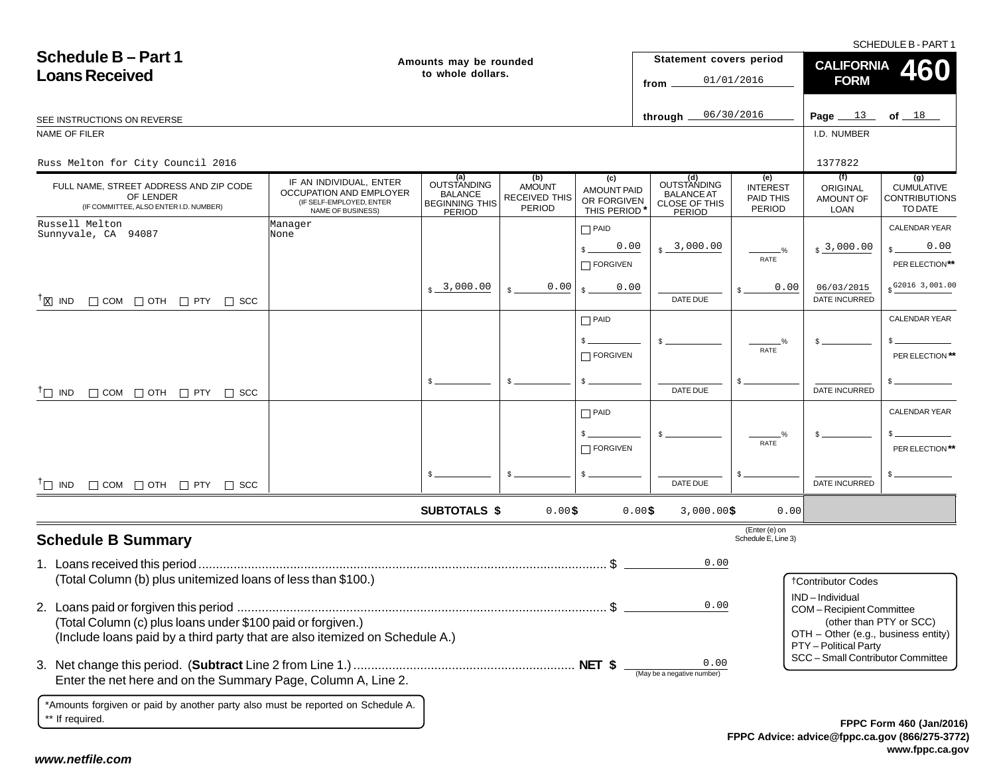SCHEDULE B - PART 1

| <b>Schedule B-Part 1</b><br><b>Loans Received</b>                                                                                          |                                                                                                     | Amounts may be rounded<br>to whole dollars.                             |                                                        |                                                         | Statement covers period<br>from                                    | 01/01/2016                                    | <b>CALIFORNIA</b><br><b>FORM</b>                                                                                                       | <b>460</b>                                                  |
|--------------------------------------------------------------------------------------------------------------------------------------------|-----------------------------------------------------------------------------------------------------|-------------------------------------------------------------------------|--------------------------------------------------------|---------------------------------------------------------|--------------------------------------------------------------------|-----------------------------------------------|----------------------------------------------------------------------------------------------------------------------------------------|-------------------------------------------------------------|
| SEE INSTRUCTIONS ON REVERSE                                                                                                                |                                                                                                     |                                                                         |                                                        |                                                         | through $\equiv$                                                   | 06/30/2016                                    | Page $13$                                                                                                                              | of $18$                                                     |
| NAME OF FILER                                                                                                                              |                                                                                                     |                                                                         |                                                        |                                                         |                                                                    |                                               | I.D. NUMBER                                                                                                                            |                                                             |
| Russ Melton for City Council 2016                                                                                                          |                                                                                                     |                                                                         |                                                        |                                                         |                                                                    |                                               | 1377822                                                                                                                                |                                                             |
| FULL NAME, STREET ADDRESS AND ZIP CODE<br>OF LENDER<br>(IF COMMITTEE, ALSO ENTER I.D. NUMBER)                                              | IF AN INDIVIDUAL, ENTER<br>OCCUPATION AND EMPLOYER<br>(IF SELF-EMPLOYED, ENTER<br>NAME OF BUSINESS) | (a)<br><b>OUTSTANDING</b><br>BALANCE<br><b>BEGINNING THIS</b><br>PERIOD | (b)<br><b>AMOUNT</b><br>RECEIVED THIS<br><b>PERIOD</b> | (c)<br><b>AMOUNT PAID</b><br>OR FORGIVEN<br>THIS PERIOD | (d)<br>OUTSTANDING<br><b>BALANCE AT</b><br>CLOSE OF THIS<br>PERIOD | (e)<br><b>INTEREST</b><br>PAID THIS<br>PERIOD | (f)<br>ORIGINAL<br>AMOUNT OF<br><b>LOAN</b>                                                                                            | (g)<br><b>CUMULATIVE</b><br><b>CONTRIBUTIONS</b><br>TO DATE |
| Russell Melton<br>Sunnyvale, CA 94087                                                                                                      | Manager<br>None                                                                                     |                                                                         |                                                        | $\Box$ PAID                                             |                                                                    |                                               |                                                                                                                                        | <b>CALENDAR YEAR</b>                                        |
|                                                                                                                                            |                                                                                                     |                                                                         |                                                        | 0.00<br>FORGIVEN                                        | $s - 3,000.00$                                                     | $\frac{0}{2}$<br>RATE                         | $s3$ ,000.00                                                                                                                           | 0.00<br>PER ELECTION**                                      |
| $^{\dagger}$ $\boxtimes$ IND $\Box$ COM $\Box$ OTH $\Box$ PTY $\Box$ SCC                                                                   |                                                                                                     | $\frac{1}{2}$ 3,000.00                                                  | 0.00                                                   | 0.00                                                    | DATE DUE                                                           | 0.00                                          | 06/03/2015<br><b>DATE INCURRED</b>                                                                                                     | $$^{G2016}3,001.00$                                         |
|                                                                                                                                            |                                                                                                     |                                                                         |                                                        | $\Box$ PAID                                             |                                                                    |                                               |                                                                                                                                        | <b>CALENDAR YEAR</b>                                        |
|                                                                                                                                            |                                                                                                     |                                                                         |                                                        | $\Box$ FORGIVEN                                         |                                                                    | %<br>RATE                                     |                                                                                                                                        | PER ELECTION **                                             |
| $\Box$ COM $\Box$ OTH $\Box$ PTY $\Box$ SCC<br>$\top$ IND                                                                                  |                                                                                                     | \$.                                                                     |                                                        |                                                         | DATE DUE                                                           |                                               | DATE INCURRED                                                                                                                          |                                                             |
|                                                                                                                                            |                                                                                                     |                                                                         |                                                        | $\Box$ PAID                                             |                                                                    |                                               |                                                                                                                                        | <b>CALENDAR YEAR</b>                                        |
|                                                                                                                                            |                                                                                                     |                                                                         |                                                        | $\Box$ FORGIVEN                                         |                                                                    | RATE                                          |                                                                                                                                        | PER ELECTION**                                              |
| $^{\dagger}$ IND $\Box$ COM $\Box$ OTH $\Box$ PTY $\Box$ SCC                                                                               |                                                                                                     |                                                                         |                                                        |                                                         | DATE DUE                                                           |                                               | <b>DATE INCURRED</b>                                                                                                                   |                                                             |
|                                                                                                                                            |                                                                                                     | <b>SUBTOTALS \$</b>                                                     | 0.00\$                                                 |                                                         | 0.00\$<br>$3,000.00$ \$                                            | 0.00                                          |                                                                                                                                        |                                                             |
| <b>Schedule B Summary</b>                                                                                                                  |                                                                                                     |                                                                         |                                                        |                                                         |                                                                    | (Enter (e) on<br>Schedule E, Line 3)          |                                                                                                                                        |                                                             |
| (Total Column (b) plus unitemized loans of less than \$100.)                                                                               |                                                                                                     |                                                                         |                                                        |                                                         | 0.00                                                               |                                               |                                                                                                                                        |                                                             |
| (Total Column (c) plus loans under \$100 paid or forgiven.)<br>(Include loans paid by a third party that are also itemized on Schedule A.) |                                                                                                     |                                                                         |                                                        |                                                         | 0.00                                                               |                                               | <b>†Contributor Codes</b><br>IND-Individual<br>COM-Recipient Committee<br>OTH - Other (e.g., business entity)<br>PTY - Political Party | (other than PTY or SCC)                                     |
| Enter the net here and on the Summary Page, Column A, Line 2.                                                                              |                                                                                                     |                                                                         |                                                        |                                                         | 0.00<br>(May be a negative number)                                 |                                               | SCC - Small Contributor Committee                                                                                                      |                                                             |
| *Amounts forgiven or paid by another party also must be reported on Schedule A.<br>** If required.                                         |                                                                                                     |                                                                         |                                                        |                                                         |                                                                    |                                               |                                                                                                                                        | EPPC Form 460 (Jan/2010                                     |

**FPPC Advice: advice@fppc.ca.gov (866/275-3772) www.fppc.ca.gov FPPC Form 460 (Jan/2016)**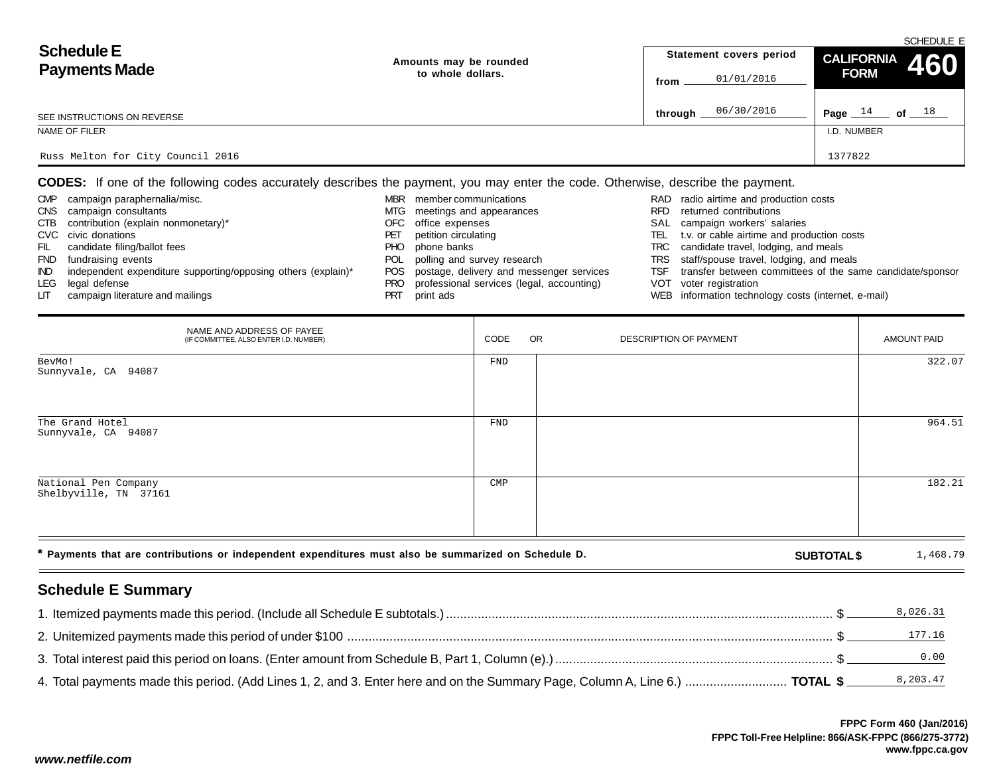|                                   |                        |                         | SCHEDULE E                                                                              |
|-----------------------------------|------------------------|-------------------------|-----------------------------------------------------------------------------------------|
| <b>Schedule E</b>                 | Amounts may be rounded | Statement covers period | CALIFORNIA 460                                                                          |
| <b>Payments Made</b>              | to whole dollars.      | 01/01/2016<br>from      | <b>FORM</b>                                                                             |
| SEE INSTRUCTIONS ON REVERSE       |                        | 06/30/2016<br>through.  | Page $14$<br>of $\rule{1.5cm}{0.15cm}$ 0f $\rule{1.5cm}{0.15cm}$ $\rule{1.5cm}{0.15cm}$ |
| NAME OF FILER                     |                        |                         | I.D. NUMBER                                                                             |
| Russ Melton for City Council 2016 |                        |                         | 1377822                                                                                 |

**CODES:** If one of the following codes accurately describes the payment, you may enter the code. Otherwise, describe the payment.

| <b>CMP</b> | campaign paraphernalia/misc.                                  | <b>MBR</b> | member communications                        |      | RAD radio airtime and production costs                    |
|------------|---------------------------------------------------------------|------------|----------------------------------------------|------|-----------------------------------------------------------|
| <b>CNS</b> | campaign consultants                                          |            | MTG meetings and appearances                 | RFD  | returned contributions                                    |
| CTB        | contribution (explain nonmonetary)*                           |            | OFC office expenses                          |      | SAL campaign workers' salaries                            |
|            | CVC civic donations                                           | РEI        | petition circulating                         | TEL. | t.v. or cable airtime and production costs                |
| FIL        | candidate filing/ballot fees                                  | PHO.       | phone banks                                  |      | TRC candidate travel, lodging, and meals                  |
| <b>FND</b> | fundraising events                                            | POL.       | polling and survey research                  |      | TRS staff/spouse travel, lodging, and meals               |
| IND.       | independent expenditure supporting/opposing others (explain)* |            | POS postage, delivery and messenger services | TSF  | transfer between committees of the same candidate/sponsor |
| LEG        | legal defense                                                 | PRO        | professional services (legal, accounting)    |      | VOT voter registration                                    |
| LIT.       | campaign literature and mailings                              |            | print ads                                    |      | WEB information technology costs (internet, e-mail)       |

| NAME AND ADDRESS OF PAYEE<br>(IF COMMITTEE, ALSO ENTER I.D. NUMBER)                                  | CODE           | OR | DESCRIPTION OF PAYMENT |                    | <b>AMOUNT PAID</b> |
|------------------------------------------------------------------------------------------------------|----------------|----|------------------------|--------------------|--------------------|
| BevMo!<br>Sunnyvale, CA 94087                                                                        | FND            |    |                        |                    | 322.07             |
| The Grand Hotel<br>Sunnyvale, CA 94087                                                               | FND            |    |                        |                    | 964.51             |
| National Pen Company<br>Shelbyville, TN 37161                                                        | $\mathsf{CMP}$ |    |                        |                    | 182.21             |
| * Payments that are contributions or independent expenditures must also be summarized on Schedule D. |                |    |                        | <b>SUBTOTAL \$</b> | 1,468.79           |

# **Schedule E Summary**

| l . Itemized payments made this period. (Include all Schedule E subtotals.) ………………………………………………………………………………………… \$            | 8,026.31 |
|------------------------------------------------------------------------------------------------------------------------------|----------|
|                                                                                                                              | 177.16   |
|                                                                                                                              | 0.00     |
| 4. Total payments made this period. (Add Lines 1, 2, and 3. Enter here and on the Summary Page, Column A, Line 6.)  TOTAL \$ |          |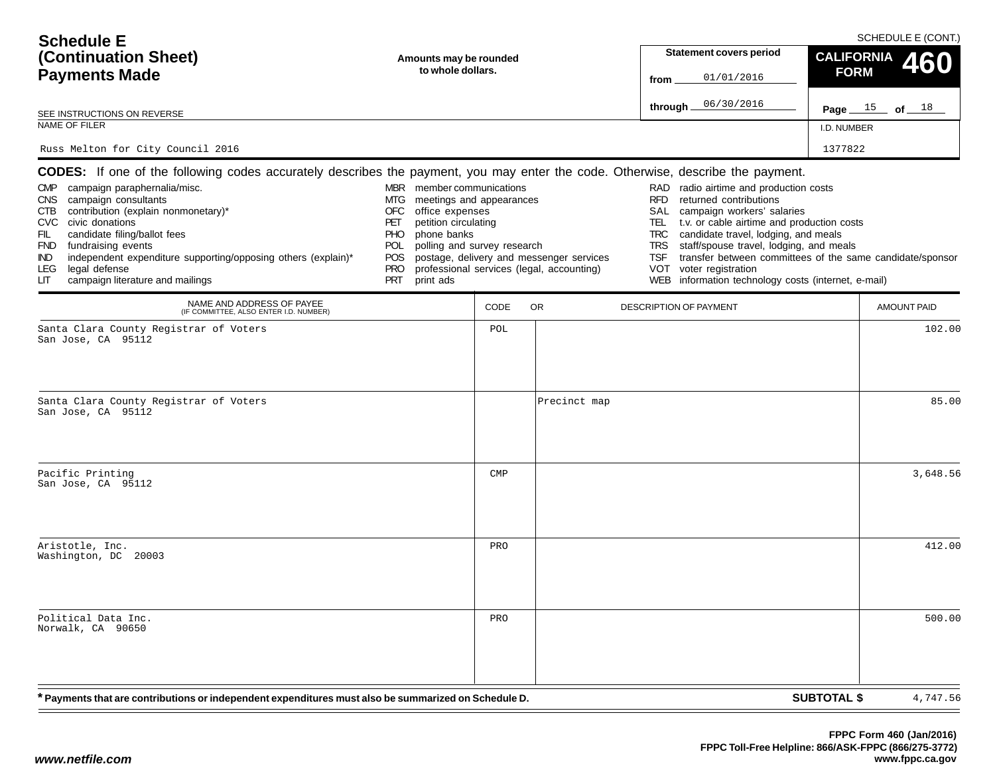| <b>Schedule E</b><br>(Continuation Sheet)<br><b>Payments Made</b><br>SEE INSTRUCTIONS ON REVERSE<br>NAME OF FILER<br>Russ Melton for City Council 2016                                                                                                                                                                                                                                                                                                                                             | Amounts may be rounded<br>to whole dollars.                                                                                                                                                                                        |                |                                                                                       | <b>Statement covers period</b><br>01/01/2016<br>from<br>06/30/2016<br>through $\equiv$                                                                                                                                                                                                                                                                                                           | SCHEDULE E (CONT.)<br>CALIFORNIA 460<br><b>FORM</b><br>Page $15$ of $18$<br>I.D. NUMBER<br>1377822 |
|----------------------------------------------------------------------------------------------------------------------------------------------------------------------------------------------------------------------------------------------------------------------------------------------------------------------------------------------------------------------------------------------------------------------------------------------------------------------------------------------------|------------------------------------------------------------------------------------------------------------------------------------------------------------------------------------------------------------------------------------|----------------|---------------------------------------------------------------------------------------|--------------------------------------------------------------------------------------------------------------------------------------------------------------------------------------------------------------------------------------------------------------------------------------------------------------------------------------------------------------------------------------------------|----------------------------------------------------------------------------------------------------|
| <b>CODES:</b> If one of the following codes accurately describes the payment, you may enter the code. Otherwise, describe the payment.<br>campaign paraphernalia/misc.<br><b>CMP</b><br>CNS campaign consultants<br>contribution (explain nonmonetary)*<br>CTB<br>CVC civic donations<br>FIL<br>candidate filing/ballot fees<br>FND fundraising events<br>independent expenditure supporting/opposing others (explain)*<br>IND<br>legal defense<br>LEG.<br>campaign literature and mailings<br>LІТ | MBR member communications<br>meetings and appearances<br>MTG<br>OFC<br>office expenses<br>petition circulating<br>PET<br><b>PHO</b><br>phone banks<br>polling and survey research<br>POL<br>POS.<br><b>PRO</b><br>PRT<br>print ads |                | postage, delivery and messenger services<br>professional services (legal, accounting) | RAD radio airtime and production costs<br><b>RFD</b><br>returned contributions<br>SAL<br>campaign workers' salaries<br>t.v. or cable airtime and production costs<br>TEL<br><b>TRC</b><br>candidate travel, lodging, and meals<br><b>TRS</b><br>staff/spouse travel, lodging, and meals<br><b>TSF</b><br><b>VOT</b><br>voter registration<br>WEB information technology costs (internet, e-mail) | transfer between committees of the same candidate/sponsor                                          |
| NAME AND ADDRESS OF PAYEE<br>(IF COMMITTEE, ALSO ENTER I.D. NUMBER)                                                                                                                                                                                                                                                                                                                                                                                                                                |                                                                                                                                                                                                                                    | CODE           | OR.                                                                                   | <b>DESCRIPTION OF PAYMENT</b>                                                                                                                                                                                                                                                                                                                                                                    | <b>AMOUNT PAID</b>                                                                                 |
| Santa Clara County Registrar of Voters<br>San Jose, CA 95112<br>Santa Clara County Registrar of Voters<br>San Jose, CA 95112                                                                                                                                                                                                                                                                                                                                                                       |                                                                                                                                                                                                                                    | POL            | Precinct map                                                                          |                                                                                                                                                                                                                                                                                                                                                                                                  | 102.00<br>85.00                                                                                    |
| Pacific Printing<br>San Jose, CA 95112                                                                                                                                                                                                                                                                                                                                                                                                                                                             |                                                                                                                                                                                                                                    | $\texttt{CMP}$ |                                                                                       |                                                                                                                                                                                                                                                                                                                                                                                                  | 3,648.56                                                                                           |
| Aristotle, Inc.<br>Washington, DC 20003                                                                                                                                                                                                                                                                                                                                                                                                                                                            |                                                                                                                                                                                                                                    | PRO            |                                                                                       |                                                                                                                                                                                                                                                                                                                                                                                                  | 412.00                                                                                             |
| Political Data Inc.<br>Norwalk, CA 90650                                                                                                                                                                                                                                                                                                                                                                                                                                                           |                                                                                                                                                                                                                                    | PRO            |                                                                                       |                                                                                                                                                                                                                                                                                                                                                                                                  | 500.00                                                                                             |
| * Payments that are contributions or independent expenditures must also be summarized on Schedule D.                                                                                                                                                                                                                                                                                                                                                                                               |                                                                                                                                                                                                                                    |                |                                                                                       |                                                                                                                                                                                                                                                                                                                                                                                                  | <b>SUBTOTAL \$</b><br>4,747.56                                                                     |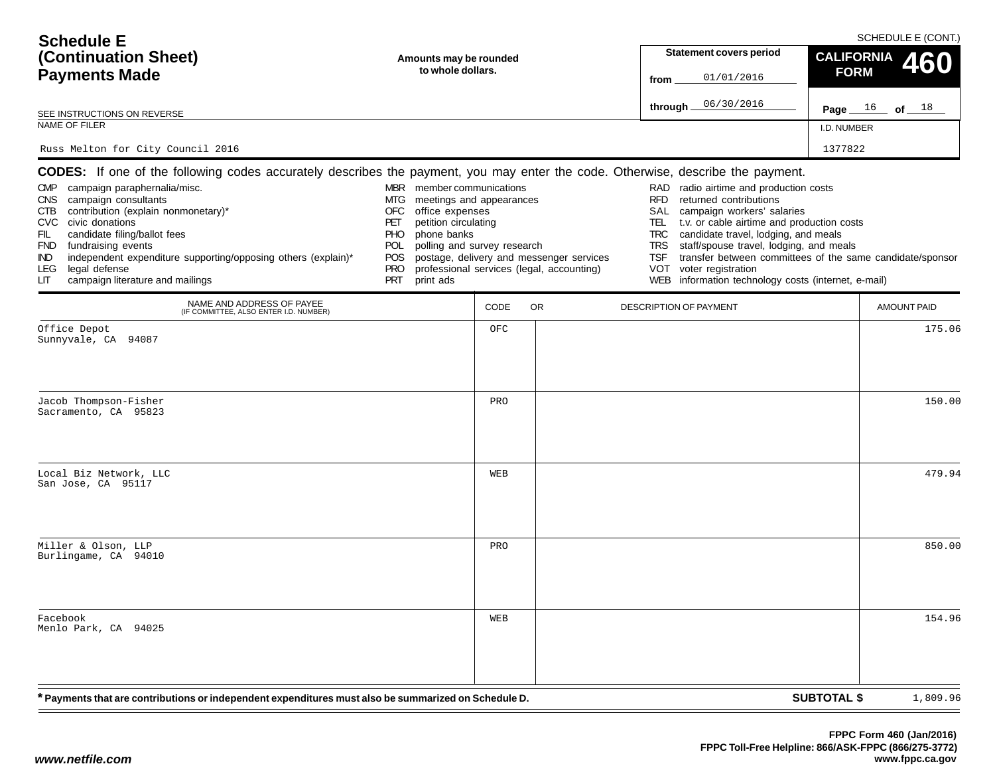| <b>Schedule E</b><br>(Continuation Sheet)<br><b>Payments Made</b>                                                                                                                                                                                                                                                                                                                                                                                                                      | Amounts may be rounded<br>to whole dollars.                                                                                                                                                                                               |      |                                                                                       | <b>Statement covers period</b><br>01/01/2016<br>from                                                                                                                                                                                                                                                                                                                            | SCHEDULE E (CONT.)<br><b>CALIFORNIA</b><br>460<br><b>FORM</b> |
|----------------------------------------------------------------------------------------------------------------------------------------------------------------------------------------------------------------------------------------------------------------------------------------------------------------------------------------------------------------------------------------------------------------------------------------------------------------------------------------|-------------------------------------------------------------------------------------------------------------------------------------------------------------------------------------------------------------------------------------------|------|---------------------------------------------------------------------------------------|---------------------------------------------------------------------------------------------------------------------------------------------------------------------------------------------------------------------------------------------------------------------------------------------------------------------------------------------------------------------------------|---------------------------------------------------------------|
| SEE INSTRUCTIONS ON REVERSE                                                                                                                                                                                                                                                                                                                                                                                                                                                            |                                                                                                                                                                                                                                           |      |                                                                                       | 06/30/2016<br>through $\_$                                                                                                                                                                                                                                                                                                                                                      | Page $16$ of $18$                                             |
| NAME OF FILER                                                                                                                                                                                                                                                                                                                                                                                                                                                                          |                                                                                                                                                                                                                                           |      |                                                                                       |                                                                                                                                                                                                                                                                                                                                                                                 | I.D. NUMBER                                                   |
| Russ Melton for City Council 2016                                                                                                                                                                                                                                                                                                                                                                                                                                                      |                                                                                                                                                                                                                                           |      |                                                                                       |                                                                                                                                                                                                                                                                                                                                                                                 | 1377822                                                       |
| <b>CODES:</b> If one of the following codes accurately describes the payment, you may enter the code. Otherwise, describe the payment.<br>CMP campaign paraphernalia/misc.<br>CNS campaign consultants<br>CTB contribution (explain nonmonetary)*<br>CVC civic donations<br>candidate filing/ballot fees<br>FIL<br>FND fundraising events<br>independent expenditure supporting/opposing others (explain)*<br>IND.<br>legal defense<br>LEG.<br>campaign literature and mailings<br>LIТ | MBR member communications<br>meetings and appearances<br>MTG<br>office expenses<br>OFC<br>petition circulating<br>PET<br>phone banks<br><b>PHO</b><br>polling and survey research<br>POL<br>POS.<br><b>PRO</b><br><b>PRT</b><br>print ads |      | postage, delivery and messenger services<br>professional services (legal, accounting) | radio airtime and production costs<br>RAD<br><b>RFD</b><br>returned contributions<br>SAL<br>campaign workers' salaries<br>TEL.<br>t.v. or cable airtime and production costs<br>candidate travel, lodging, and meals<br>TRC<br>staff/spouse travel, lodging, and meals<br>TRS<br><b>TSF</b><br>voter registration<br>VOT<br>WEB information technology costs (internet, e-mail) | transfer between committees of the same candidate/sponsor     |
| NAME AND ADDRESS OF PAYEE<br>(IF COMMITTEE, ALSO ENTER I.D. NUMBER)                                                                                                                                                                                                                                                                                                                                                                                                                    |                                                                                                                                                                                                                                           | CODE | <b>OR</b>                                                                             | <b>DESCRIPTION OF PAYMENT</b>                                                                                                                                                                                                                                                                                                                                                   | <b>AMOUNT PAID</b>                                            |
| Office Depot<br>Sunnyvale, CA 94087                                                                                                                                                                                                                                                                                                                                                                                                                                                    |                                                                                                                                                                                                                                           | OFC  |                                                                                       |                                                                                                                                                                                                                                                                                                                                                                                 | 175.06                                                        |
| Jacob Thompson-Fisher<br>Sacramento, CA 95823                                                                                                                                                                                                                                                                                                                                                                                                                                          |                                                                                                                                                                                                                                           | PRO  |                                                                                       |                                                                                                                                                                                                                                                                                                                                                                                 | 150.00                                                        |
| Local Biz Network, LLC<br>San Jose, CA 95117                                                                                                                                                                                                                                                                                                                                                                                                                                           |                                                                                                                                                                                                                                           | WEB  |                                                                                       |                                                                                                                                                                                                                                                                                                                                                                                 | 479.94                                                        |
| Miller & Olson, LLP<br>Burlingame, CA 94010                                                                                                                                                                                                                                                                                                                                                                                                                                            |                                                                                                                                                                                                                                           | PRO  |                                                                                       |                                                                                                                                                                                                                                                                                                                                                                                 | 850.00                                                        |
| Facebook<br>Menlo Park, CA 94025                                                                                                                                                                                                                                                                                                                                                                                                                                                       |                                                                                                                                                                                                                                           | WEB  |                                                                                       |                                                                                                                                                                                                                                                                                                                                                                                 | 154.96                                                        |
| * Payments that are contributions or independent expenditures must also be summarized on Schedule D.                                                                                                                                                                                                                                                                                                                                                                                   |                                                                                                                                                                                                                                           |      |                                                                                       |                                                                                                                                                                                                                                                                                                                                                                                 | <b>SUBTOTAL \$</b><br>1,809.96                                |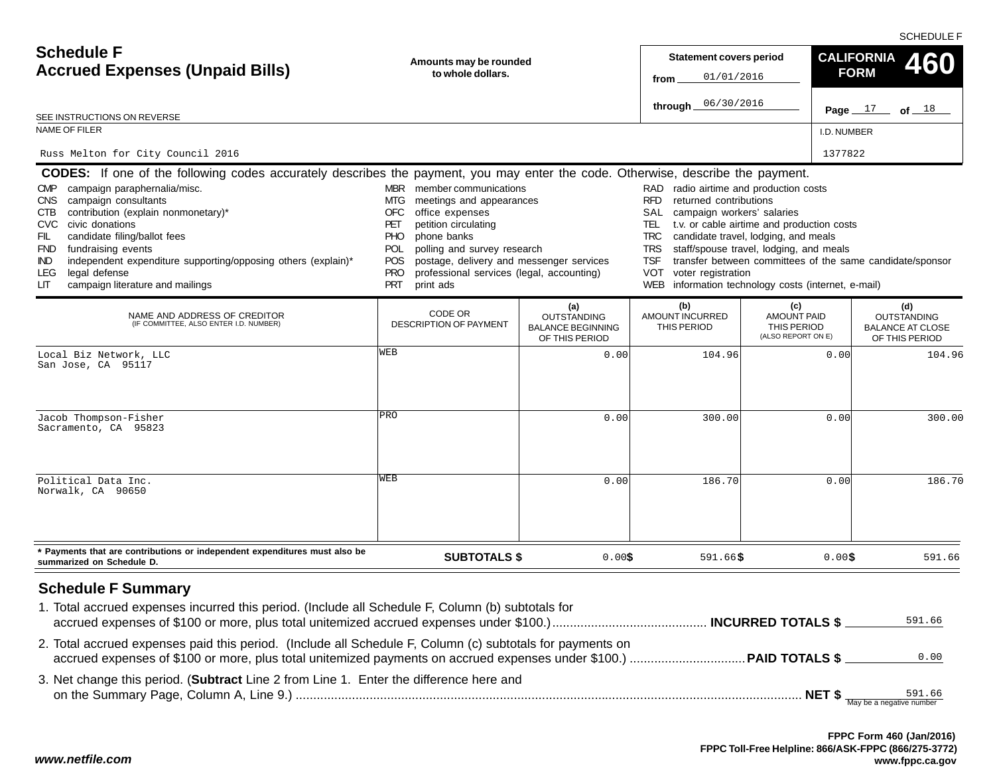SCHEDULE F

| <b>Schedule F</b><br><b>Accrued Expenses (Unpaid Bills)</b><br>SEE INSTRUCTIONS ON REVERSE                                                                                                                                                                                                                                                                                       | Amounts may be rounded<br>to whole dollars.                                                                                                                                                                                                                                                                                                                                                                                                                                                                                                                                                                                                                                                                                                                                                                                                                                                                                                                     |                                                                         | <b>Statement covers period</b><br>01/01/2016<br>from<br>06/30/2016<br>through |                                                                | <b>CALIFORNIA</b><br><b>FORM</b><br>Page $17$<br>of $18$               |
|----------------------------------------------------------------------------------------------------------------------------------------------------------------------------------------------------------------------------------------------------------------------------------------------------------------------------------------------------------------------------------|-----------------------------------------------------------------------------------------------------------------------------------------------------------------------------------------------------------------------------------------------------------------------------------------------------------------------------------------------------------------------------------------------------------------------------------------------------------------------------------------------------------------------------------------------------------------------------------------------------------------------------------------------------------------------------------------------------------------------------------------------------------------------------------------------------------------------------------------------------------------------------------------------------------------------------------------------------------------|-------------------------------------------------------------------------|-------------------------------------------------------------------------------|----------------------------------------------------------------|------------------------------------------------------------------------|
| NAME OF FILER                                                                                                                                                                                                                                                                                                                                                                    |                                                                                                                                                                                                                                                                                                                                                                                                                                                                                                                                                                                                                                                                                                                                                                                                                                                                                                                                                                 |                                                                         |                                                                               | I.D. NUMBER                                                    |                                                                        |
| Russ Melton for City Council 2016                                                                                                                                                                                                                                                                                                                                                |                                                                                                                                                                                                                                                                                                                                                                                                                                                                                                                                                                                                                                                                                                                                                                                                                                                                                                                                                                 |                                                                         |                                                                               |                                                                | 1377822                                                                |
| campaign paraphernalia/misc.<br>CMP.<br>campaign consultants<br><b>CNS</b><br>contribution (explain nonmonetary)*<br>CTB<br>civic donations<br>CVC.<br>FIL<br>candidate filing/ballot fees<br>fundraising events<br><b>FND</b><br>independent expenditure supporting/opposing others (explain)*<br><b>IND</b><br>legal defense<br>LEG<br>campaign literature and mailings<br>LIТ | <b>CODES:</b> If one of the following codes accurately describes the payment, you may enter the code. Otherwise, describe the payment.<br>MBR member communications<br>RAD radio airtime and production costs<br><b>RFD</b><br>returned contributions<br>MTG.<br>meetings and appearances<br><b>OFC</b><br>office expenses<br>SAL<br>campaign workers' salaries<br>t.v. or cable airtime and production costs<br>petition circulating<br>PET<br>TEL.<br><b>PHO</b><br>phone banks<br><b>TRC</b><br>candidate travel, lodging, and meals<br>staff/spouse travel, lodging, and meals<br>polling and survey research<br><b>TRS</b><br>POL<br>postage, delivery and messenger services<br>transfer between committees of the same candidate/sponsor<br><b>POS</b><br><b>TSF</b><br><b>PRO</b><br>VOT<br>professional services (legal, accounting)<br>voter registration<br>information technology costs (internet, e-mail)<br><b>PRT</b><br>print ads<br><b>WEB</b> |                                                                         |                                                                               |                                                                |                                                                        |
| NAME AND ADDRESS OF CREDITOR<br>(IF COMMITTEE, ALSO ENTER I.D. NUMBER)                                                                                                                                                                                                                                                                                                           | CODE OR<br>DESCRIPTION OF PAYMENT                                                                                                                                                                                                                                                                                                                                                                                                                                                                                                                                                                                                                                                                                                                                                                                                                                                                                                                               | (a)<br><b>OUTSTANDING</b><br><b>BALANCE BEGINNING</b><br>OF THIS PERIOD | (b)<br><b>AMOUNT INCURRED</b><br>THIS PERIOD                                  | (c)<br><b>AMOUNT PAID</b><br>THIS PERIOD<br>(ALSO REPORT ON E) | (d)<br><b>OUTSTANDING</b><br><b>BALANCE AT CLOSE</b><br>OF THIS PERIOD |
| Local Biz Network, LLC<br>San Jose, CA 95117                                                                                                                                                                                                                                                                                                                                     | WEB                                                                                                                                                                                                                                                                                                                                                                                                                                                                                                                                                                                                                                                                                                                                                                                                                                                                                                                                                             | 0.00                                                                    | 104.96                                                                        | 0.00                                                           | 104.96                                                                 |
| Jacob Thompson-Fisher<br>Sacramento, CA 95823                                                                                                                                                                                                                                                                                                                                    | PRO                                                                                                                                                                                                                                                                                                                                                                                                                                                                                                                                                                                                                                                                                                                                                                                                                                                                                                                                                             | 0.00                                                                    | 300.00                                                                        | 0.00                                                           | 300.00                                                                 |
| Political Data Inc.<br>Norwalk, CA 90650                                                                                                                                                                                                                                                                                                                                         | WEB                                                                                                                                                                                                                                                                                                                                                                                                                                                                                                                                                                                                                                                                                                                                                                                                                                                                                                                                                             | 0.00                                                                    | 186.70                                                                        | 0.00                                                           | 186.70                                                                 |
| * Payments that are contributions or independent expenditures must also be<br>summarized on Schedule D.                                                                                                                                                                                                                                                                          | <b>SUBTOTALS \$</b>                                                                                                                                                                                                                                                                                                                                                                                                                                                                                                                                                                                                                                                                                                                                                                                                                                                                                                                                             | 0.00\$                                                                  | $591.66$ \$                                                                   | 0.00\$                                                         | 591.66                                                                 |
| <b>Schedule F Summary</b><br>1. Total accrued expenses incurred this period. (Include all Schedule F, Column (b) subtotals for<br>2. Total accrued expenses paid this period. (Include all Schedule F, Column (c) subtotals for payments on                                                                                                                                      |                                                                                                                                                                                                                                                                                                                                                                                                                                                                                                                                                                                                                                                                                                                                                                                                                                                                                                                                                                 |                                                                         |                                                                               |                                                                | 591.66<br>0.00                                                         |
| 3. Net change this period. (Subtract Line 2 from Line 1. Enter the difference here and                                                                                                                                                                                                                                                                                           |                                                                                                                                                                                                                                                                                                                                                                                                                                                                                                                                                                                                                                                                                                                                                                                                                                                                                                                                                                 |                                                                         |                                                                               |                                                                | 591.66                                                                 |

*www.netfile.com*